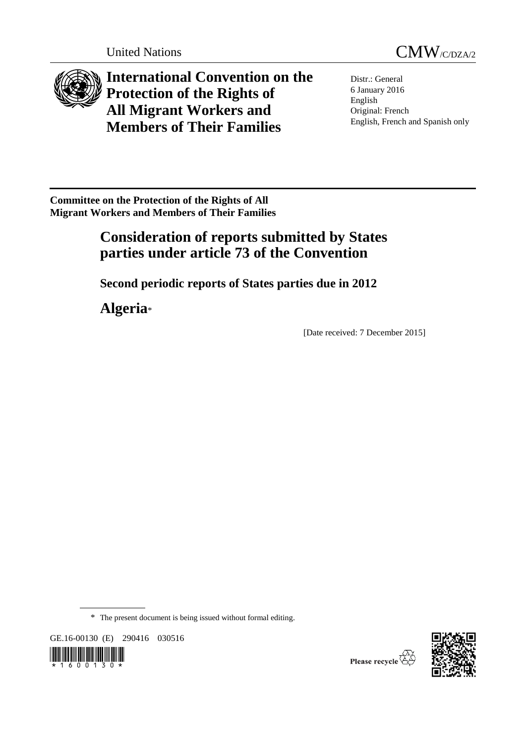



**International Convention on the Protection of the Rights of All Migrant Workers and Members of Their Families**

Distr.: General 6 January 2016 English Original: French English, French and Spanish only

**Committee on the Protection of the Rights of All Migrant Workers and Members of Their Families**

# **Consideration of reports submitted by States parties under article 73 of the Convention**

**Second periodic reports of States parties due in 2012**

**Algeria**\*

[Date received: 7 December 2015]

\* The present document is being issued without formal editing.

GE.16-00130 (E) 290416 030516





Please recycle  $\overline{\mathbb{G}}$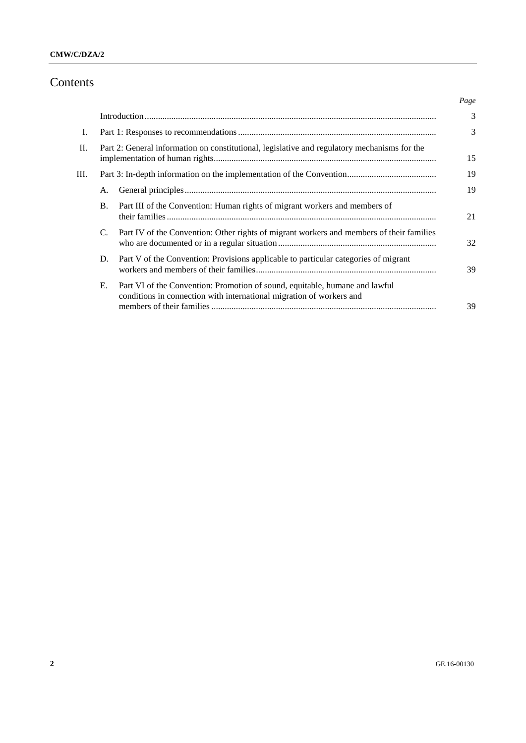# **CMW/C/DZA/2**

# Contents

|            |           |                                                                                                                                                     | Page |
|------------|-----------|-----------------------------------------------------------------------------------------------------------------------------------------------------|------|
|            |           |                                                                                                                                                     | 3    |
| <b>I</b> . |           |                                                                                                                                                     | 3    |
| $\Pi$ .    |           | Part 2: General information on constitutional, legislative and regulatory mechanisms for the                                                        | 15   |
| Ш.         |           |                                                                                                                                                     | 19   |
|            | Α.        |                                                                                                                                                     | 19   |
|            | <b>B.</b> | Part III of the Convention: Human rights of migrant workers and members of                                                                          | 21   |
|            | C.        | Part IV of the Convention: Other rights of migrant workers and members of their families                                                            | 32   |
|            | D.        | Part V of the Convention: Provisions applicable to particular categories of migrant                                                                 | 39   |
|            | Е.        | Part VI of the Convention: Promotion of sound, equitable, humane and lawful<br>conditions in connection with international migration of workers and | 39   |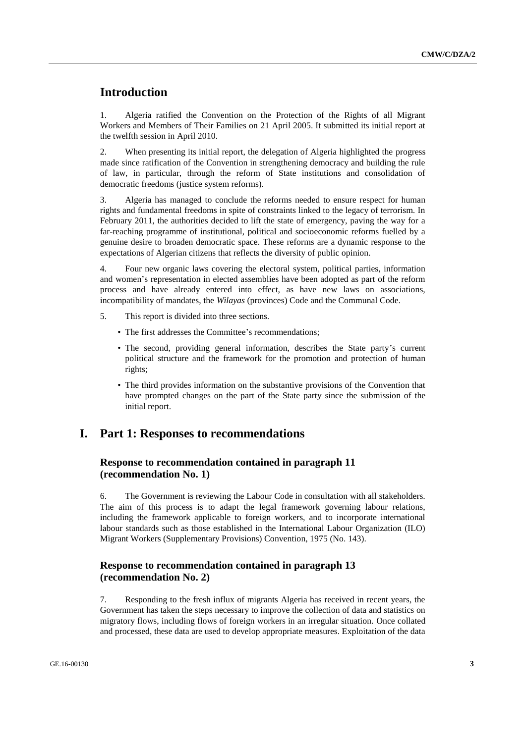# **Introduction**

1. Algeria ratified the Convention on the Protection of the Rights of all Migrant Workers and Members of Their Families on 21 April 2005. It submitted its initial report at the twelfth session in April 2010.

2. When presenting its initial report, the delegation of Algeria highlighted the progress made since ratification of the Convention in strengthening democracy and building the rule of law, in particular, through the reform of State institutions and consolidation of democratic freedoms (justice system reforms).

3. Algeria has managed to conclude the reforms needed to ensure respect for human rights and fundamental freedoms in spite of constraints linked to the legacy of terrorism. In February 2011, the authorities decided to lift the state of emergency, paving the way for a far-reaching programme of institutional, political and socioeconomic reforms fuelled by a genuine desire to broaden democratic space. These reforms are a dynamic response to the expectations of Algerian citizens that reflects the diversity of public opinion.

4. Four new organic laws covering the electoral system, political parties, information and women's representation in elected assemblies have been adopted as part of the reform process and have already entered into effect, as have new laws on associations, incompatibility of mandates, the *Wilayas* (provinces) Code and the Communal Code.

- 5. This report is divided into three sections.
	- The first addresses the Committee's recommendations;
	- The second, providing general information, describes the State party's current political structure and the framework for the promotion and protection of human rights;
	- The third provides information on the substantive provisions of the Convention that have prompted changes on the part of the State party since the submission of the initial report.

# **I. Part 1: Responses to recommendations**

# **Response to recommendation contained in paragraph 11 (recommendation No. 1)**

6. The Government is reviewing the Labour Code in consultation with all stakeholders. The aim of this process is to adapt the legal framework governing labour relations, including the framework applicable to foreign workers, and to incorporate international labour standards such as those established in the International Labour Organization (ILO) Migrant Workers (Supplementary Provisions) Convention, 1975 (No. 143).

# **Response to recommendation contained in paragraph 13 (recommendation No. 2)**

7. Responding to the fresh influx of migrants Algeria has received in recent years, the Government has taken the steps necessary to improve the collection of data and statistics on migratory flows, including flows of foreign workers in an irregular situation. Once collated and processed, these data are used to develop appropriate measures. Exploitation of the data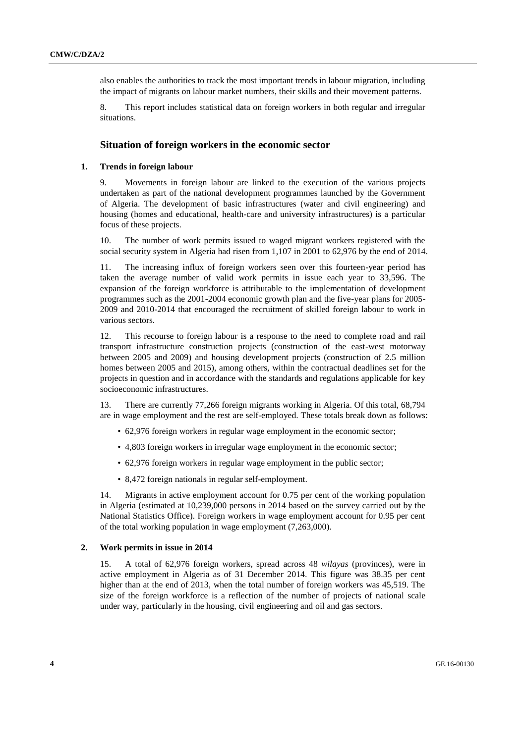also enables the authorities to track the most important trends in labour migration, including the impact of migrants on labour market numbers, their skills and their movement patterns.

8. This report includes statistical data on foreign workers in both regular and irregular situations.

# **Situation of foreign workers in the economic sector**

#### **1. Trends in foreign labour**

9. Movements in foreign labour are linked to the execution of the various projects undertaken as part of the national development programmes launched by the Government of Algeria. The development of basic infrastructures (water and civil engineering) and housing (homes and educational, health-care and university infrastructures) is a particular focus of these projects.

10. The number of work permits issued to waged migrant workers registered with the social security system in Algeria had risen from 1,107 in 2001 to 62,976 by the end of 2014.

11. The increasing influx of foreign workers seen over this fourteen-year period has taken the average number of valid work permits in issue each year to 33,596. The expansion of the foreign workforce is attributable to the implementation of development programmes such as the 2001-2004 economic growth plan and the five-year plans for 2005- 2009 and 2010-2014 that encouraged the recruitment of skilled foreign labour to work in various sectors.

12. This recourse to foreign labour is a response to the need to complete road and rail transport infrastructure construction projects (construction of the east-west motorway between 2005 and 2009) and housing development projects (construction of 2.5 million homes between 2005 and 2015), among others, within the contractual deadlines set for the projects in question and in accordance with the standards and regulations applicable for key socioeconomic infrastructures.

13. There are currently 77,266 foreign migrants working in Algeria. Of this total, 68,794 are in wage employment and the rest are self-employed. These totals break down as follows:

- 62,976 foreign workers in regular wage employment in the economic sector;
- 4,803 foreign workers in irregular wage employment in the economic sector;
- 62,976 foreign workers in regular wage employment in the public sector;
- 8,472 foreign nationals in regular self-employment.

14. Migrants in active employment account for 0.75 per cent of the working population in Algeria (estimated at 10,239,000 persons in 2014 based on the survey carried out by the National Statistics Office). Foreign workers in wage employment account for 0.95 per cent of the total working population in wage employment (7,263,000).

# **2. Work permits in issue in 2014**

15. A total of 62,976 foreign workers, spread across 48 *wilayas* (provinces), were in active employment in Algeria as of 31 December 2014. This figure was 38.35 per cent higher than at the end of 2013, when the total number of foreign workers was 45,519. The size of the foreign workforce is a reflection of the number of projects of national scale under way, particularly in the housing, civil engineering and oil and gas sectors.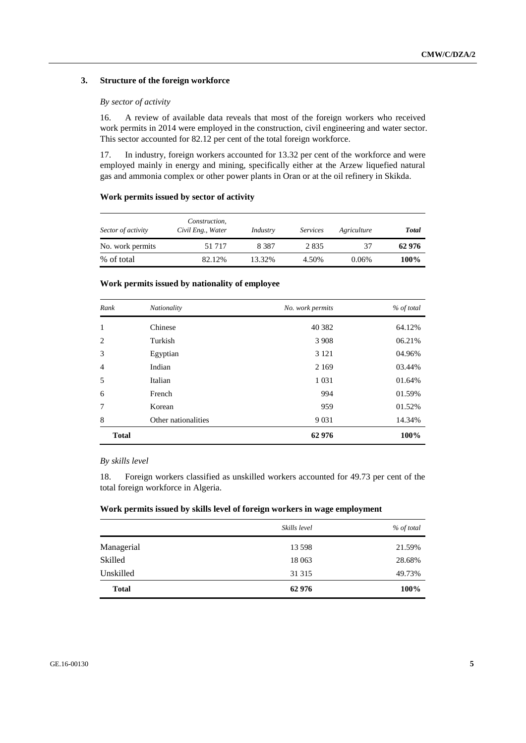### **3. Structure of the foreign workforce**

### *By sector of activity*

16. A review of available data reveals that most of the foreign workers who received work permits in 2014 were employed in the construction, civil engineering and water sector. This sector accounted for 82.12 per cent of the total foreign workforce.

17. In industry, foreign workers accounted for 13.32 per cent of the workforce and were employed mainly in energy and mining, specifically either at the Arzew liquefied natural gas and ammonia complex or other power plants in Oran or at the oil refinery in Skikda.

# **Work permits issued by sector of activity**

| Sector of activity | Construction,<br>Civil Eng., Water | Industry | <i>Services</i> | Agriculture | Total  |
|--------------------|------------------------------------|----------|-----------------|-------------|--------|
| No. work permits   | 51 7 1 7                           | 8 3 8 7  | 2835            | 37          | 62 976 |
| % of total         | 82.12%                             | 13.32%   | 4.50%           | 0.06%       | 100%   |

# **Work permits issued by nationality of employee**

| Rank           | Nationality         | No. work permits | % of total |
|----------------|---------------------|------------------|------------|
| 1              | Chinese             | 40 3 82          | 64.12%     |
| 2              | Turkish             | 3 9 0 8          | 06.21%     |
| 3              | Egyptian            | 3 1 2 1          | 04.96%     |
| $\overline{4}$ | Indian              | 2 1 6 9          | 03.44%     |
| 5              | Italian             | 1 0 3 1          | 01.64%     |
| 6              | French              | 994              | 01.59%     |
| $\overline{7}$ | Korean              | 959              | 01.52%     |
| 8              | Other nationalities | 9 0 3 1          | 14.34%     |
| <b>Total</b>   |                     | 62976            | 100%       |

### *By skills level*

18. Foreign workers classified as unskilled workers accounted for 49.73 per cent of the total foreign workforce in Algeria.

### **Work permits issued by skills level of foreign workers in wage employment**

|              | Skills level | % of total |
|--------------|--------------|------------|
| Managerial   | 13 5 98      | 21.59%     |
| Skilled      | 18 0 63      | 28.68%     |
| Unskilled    | 31 31 5      | 49.73%     |
| <b>Total</b> | 62976        | 100%       |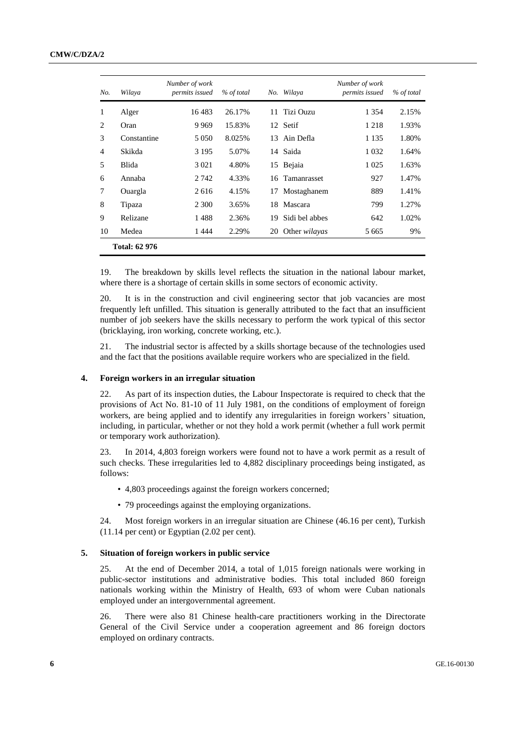#### **CMW/C/DZA/2**

| No.            | Wilaya               | Number of work<br>permits issued | % of total |    | No. Wilaya           | Number of work<br>permits issued | % of total |
|----------------|----------------------|----------------------------------|------------|----|----------------------|----------------------------------|------------|
| 1              | Alger                | 16483                            | 26.17%     | 11 | Tizi Ouzu            | 1 3 5 4                          | 2.15%      |
| 2              | Oran                 | 9 9 6 9                          | 15.83%     |    | 12 Setif             | 1 2 1 8                          | 1.93%      |
| 3              | Constantine          | 5 0 5 0                          | 8.025%     |    | 13 Ain Defla         | 1 1 3 5                          | 1.80%      |
| $\overline{4}$ | Skikda               | 3 1 9 5                          | 5.07%      |    | 14 Saida             | 1 0 3 2                          | 1.64%      |
| 5              | <b>Blida</b>         | 3 0 2 1                          | 4.80%      |    | 15 Bejaia            | 1 0 2 5                          | 1.63%      |
| 6              | Annaba               | 2 742                            | 4.33%      | 16 | Tamanrasset          | 927                              | 1.47%      |
| 7              | Ouargla              | 2616                             | 4.15%      | 17 | Mostaghanem          | 889                              | 1.41%      |
| 8              | Tipaza               | 2 300                            | 3.65%      | 18 | Mascara              | 799                              | 1.27%      |
| 9              | Relizane             | 1488                             | 2.36%      | 19 | Sidi bel abbes       | 642                              | 1.02%      |
| 10             | Medea                | 1444                             | 2.29%      | 20 | Other <i>wilayas</i> | 5 6 6 5                          | 9%         |
|                | <b>Total: 62 976</b> |                                  |            |    |                      |                                  |            |

19. The breakdown by skills level reflects the situation in the national labour market, where there is a shortage of certain skills in some sectors of economic activity.

20. It is in the construction and civil engineering sector that job vacancies are most frequently left unfilled. This situation is generally attributed to the fact that an insufficient number of job seekers have the skills necessary to perform the work typical of this sector (bricklaying, iron working, concrete working, etc.).

21. The industrial sector is affected by a skills shortage because of the technologies used and the fact that the positions available require workers who are specialized in the field.

#### **4. Foreign workers in an irregular situation**

22. As part of its inspection duties, the Labour Inspectorate is required to check that the provisions of Act No. 81-10 of 11 July 1981, on the conditions of employment of foreign workers, are being applied and to identify any irregularities in foreign workers' situation, including, in particular, whether or not they hold a work permit (whether a full work permit or temporary work authorization).

23. In 2014, 4,803 foreign workers were found not to have a work permit as a result of such checks. These irregularities led to 4,882 disciplinary proceedings being instigated, as follows:

- 4,803 proceedings against the foreign workers concerned;
- 79 proceedings against the employing organizations.

24. Most foreign workers in an irregular situation are Chinese (46.16 per cent), Turkish (11.14 per cent) or Egyptian (2.02 per cent).

#### **5. Situation of foreign workers in public service**

25. At the end of December 2014, a total of 1,015 foreign nationals were working in public-sector institutions and administrative bodies. This total included 860 foreign nationals working within the Ministry of Health, 693 of whom were Cuban nationals employed under an intergovernmental agreement.

26. There were also 81 Chinese health-care practitioners working in the Directorate General of the Civil Service under a cooperation agreement and 86 foreign doctors employed on ordinary contracts.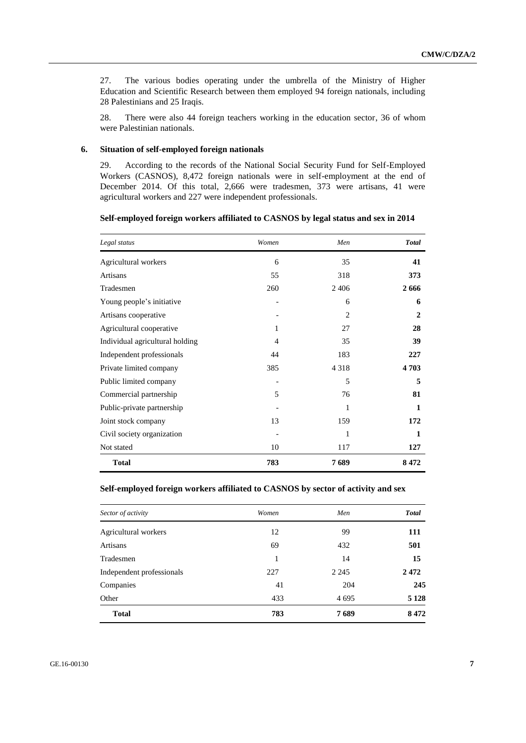27. The various bodies operating under the umbrella of the Ministry of Higher Education and Scientific Research between them employed 94 foreign nationals, including 28 Palestinians and 25 Iraqis.

28. There were also 44 foreign teachers working in the education sector, 36 of whom were Palestinian nationals.

# **6. Situation of self-employed foreign nationals**

29. According to the records of the National Social Security Fund for Self-Employed Workers (CASNOS), 8,472 foreign nationals were in self-employment at the end of December 2014. Of this total, 2,666 were tradesmen, 373 were artisans, 41 were agricultural workers and 227 were independent professionals.

**Self-employed foreign workers affiliated to CASNOS by legal status and sex in 2014**

| Legal status                    | Women          | Men            | <b>Total</b> |
|---------------------------------|----------------|----------------|--------------|
| Agricultural workers            | 6              | 35             | 41           |
| <b>Artisans</b>                 | 55             | 318            | 373          |
| Tradesmen                       | 260            | 2406           | 2666         |
| Young people's initiative       |                | 6              | 6            |
| Artisans cooperative            |                | $\overline{c}$ | 2            |
| Agricultural cooperative        | 1              | 27             | 28           |
| Individual agricultural holding | $\overline{4}$ | 35             | 39           |
| Independent professionals       | 44             | 183            | 227          |
| Private limited company         | 385            | 4 3 1 8        | 4703         |
| Public limited company          |                | 5              | 5            |
| Commercial partnership          | 5              | 76             | 81           |
| Public-private partnership      |                | 1              | 1            |
| Joint stock company             | 13             | 159            | 172          |
| Civil society organization      |                | 1              | 1            |
| Not stated                      | 10             | 117            | 127          |
| <b>Total</b>                    | 783            | 7689           | 8472         |

# **Self-employed foreign workers affiliated to CASNOS by sector of activity and sex**

| Sector of activity        | Women | Men     | <b>Total</b> |
|---------------------------|-------|---------|--------------|
| Agricultural workers      | 12    | 99      | 111          |
| Artisans                  | 69    | 432     | 501          |
| Tradesmen                 | 1     | 14      | 15           |
| Independent professionals | 227   | 2 2 4 5 | 2472         |
| Companies                 | 41    | 204     | 245          |
| Other                     | 433   | 4 6 9 5 | 5 1 2 8      |
| <b>Total</b>              | 783   | 7689    | 8472         |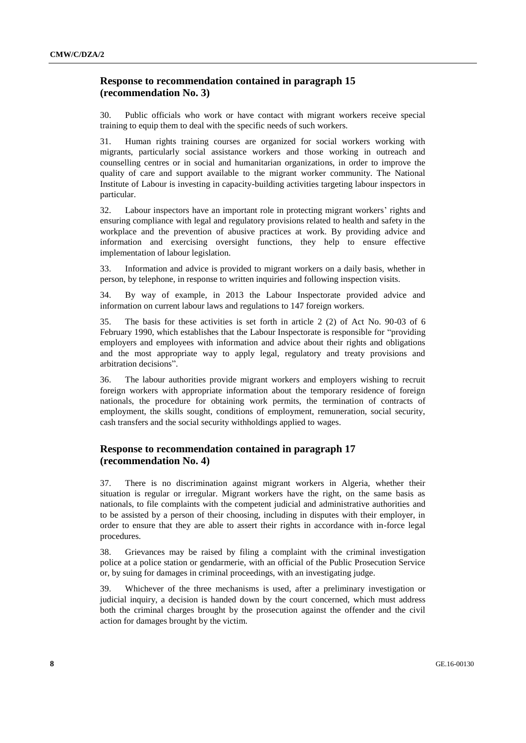# **Response to recommendation contained in paragraph 15 (recommendation No. 3)**

30. Public officials who work or have contact with migrant workers receive special training to equip them to deal with the specific needs of such workers.

31. Human rights training courses are organized for social workers working with migrants, particularly social assistance workers and those working in outreach and counselling centres or in social and humanitarian organizations, in order to improve the quality of care and support available to the migrant worker community. The National Institute of Labour is investing in capacity-building activities targeting labour inspectors in particular.

32. Labour inspectors have an important role in protecting migrant workers' rights and ensuring compliance with legal and regulatory provisions related to health and safety in the workplace and the prevention of abusive practices at work. By providing advice and information and exercising oversight functions, they help to ensure effective implementation of labour legislation.

33. Information and advice is provided to migrant workers on a daily basis, whether in person, by telephone, in response to written inquiries and following inspection visits.

34. By way of example, in 2013 the Labour Inspectorate provided advice and information on current labour laws and regulations to 147 foreign workers.

35. The basis for these activities is set forth in article 2 (2) of Act No. 90-03 of 6 February 1990, which establishes that the Labour Inspectorate is responsible for "providing employers and employees with information and advice about their rights and obligations and the most appropriate way to apply legal, regulatory and treaty provisions and arbitration decisions".

36. The labour authorities provide migrant workers and employers wishing to recruit foreign workers with appropriate information about the temporary residence of foreign nationals, the procedure for obtaining work permits, the termination of contracts of employment, the skills sought, conditions of employment, remuneration, social security, cash transfers and the social security withholdings applied to wages.

# **Response to recommendation contained in paragraph 17 (recommendation No. 4)**

37. There is no discrimination against migrant workers in Algeria, whether their situation is regular or irregular. Migrant workers have the right, on the same basis as nationals, to file complaints with the competent judicial and administrative authorities and to be assisted by a person of their choosing, including in disputes with their employer, in order to ensure that they are able to assert their rights in accordance with in-force legal procedures.

38. Grievances may be raised by filing a complaint with the criminal investigation police at a police station or gendarmerie, with an official of the Public Prosecution Service or, by suing for damages in criminal proceedings, with an investigating judge.

39. Whichever of the three mechanisms is used, after a preliminary investigation or judicial inquiry, a decision is handed down by the court concerned, which must address both the criminal charges brought by the prosecution against the offender and the civil action for damages brought by the victim.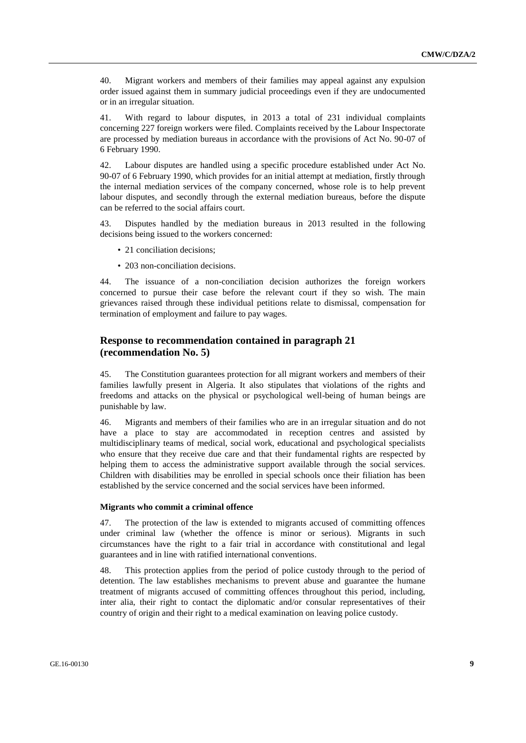40. Migrant workers and members of their families may appeal against any expulsion order issued against them in summary judicial proceedings even if they are undocumented or in an irregular situation.

41. With regard to labour disputes, in 2013 a total of 231 individual complaints concerning 227 foreign workers were filed. Complaints received by the Labour Inspectorate are processed by mediation bureaus in accordance with the provisions of Act No. 90-07 of 6 February 1990.

42. Labour disputes are handled using a specific procedure established under Act No. 90-07 of 6 February 1990, which provides for an initial attempt at mediation, firstly through the internal mediation services of the company concerned, whose role is to help prevent labour disputes, and secondly through the external mediation bureaus, before the dispute can be referred to the social affairs court.

43. Disputes handled by the mediation bureaus in 2013 resulted in the following decisions being issued to the workers concerned:

- 21 conciliation decisions:
- 203 non-conciliation decisions.

44. The issuance of a non-conciliation decision authorizes the foreign workers concerned to pursue their case before the relevant court if they so wish. The main grievances raised through these individual petitions relate to dismissal, compensation for termination of employment and failure to pay wages.

# **Response to recommendation contained in paragraph 21 (recommendation No. 5)**

45. The Constitution guarantees protection for all migrant workers and members of their families lawfully present in Algeria. It also stipulates that violations of the rights and freedoms and attacks on the physical or psychological well-being of human beings are punishable by law.

46. Migrants and members of their families who are in an irregular situation and do not have a place to stay are accommodated in reception centres and assisted by multidisciplinary teams of medical, social work, educational and psychological specialists who ensure that they receive due care and that their fundamental rights are respected by helping them to access the administrative support available through the social services. Children with disabilities may be enrolled in special schools once their filiation has been established by the service concerned and the social services have been informed.

#### **Migrants who commit a criminal offence**

47. The protection of the law is extended to migrants accused of committing offences under criminal law (whether the offence is minor or serious). Migrants in such circumstances have the right to a fair trial in accordance with constitutional and legal guarantees and in line with ratified international conventions.

48. This protection applies from the period of police custody through to the period of detention. The law establishes mechanisms to prevent abuse and guarantee the humane treatment of migrants accused of committing offences throughout this period, including, inter alia, their right to contact the diplomatic and/or consular representatives of their country of origin and their right to a medical examination on leaving police custody.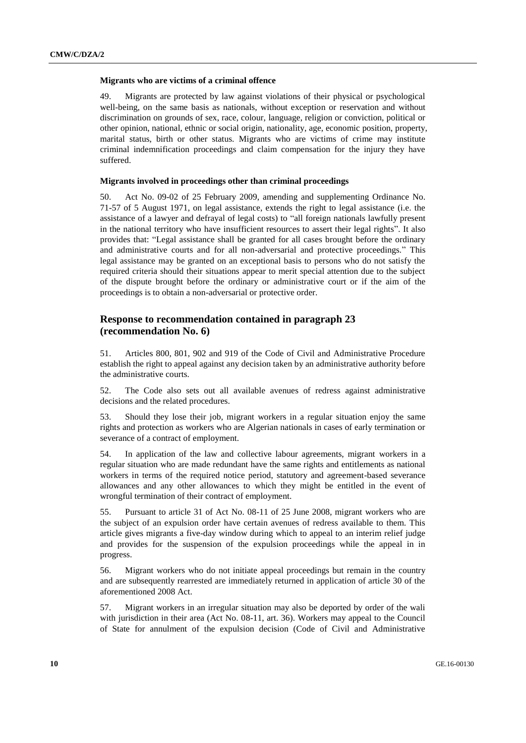#### **Migrants who are victims of a criminal offence**

49. Migrants are protected by law against violations of their physical or psychological well-being, on the same basis as nationals, without exception or reservation and without discrimination on grounds of sex, race, colour, language, religion or conviction, political or other opinion, national, ethnic or social origin, nationality, age, economic position, property, marital status, birth or other status. Migrants who are victims of crime may institute criminal indemnification proceedings and claim compensation for the injury they have suffered.

### **Migrants involved in proceedings other than criminal proceedings**

50. Act No. 09-02 of 25 February 2009, amending and supplementing Ordinance No. 71-57 of 5 August 1971, on legal assistance, extends the right to legal assistance (i.e. the assistance of a lawyer and defrayal of legal costs) to "all foreign nationals lawfully present in the national territory who have insufficient resources to assert their legal rights". It also provides that: "Legal assistance shall be granted for all cases brought before the ordinary and administrative courts and for all non-adversarial and protective proceedings." This legal assistance may be granted on an exceptional basis to persons who do not satisfy the required criteria should their situations appear to merit special attention due to the subject of the dispute brought before the ordinary or administrative court or if the aim of the proceedings is to obtain a non-adversarial or protective order.

# **Response to recommendation contained in paragraph 23 (recommendation No. 6)**

51. Articles 800, 801, 902 and 919 of the Code of Civil and Administrative Procedure establish the right to appeal against any decision taken by an administrative authority before the administrative courts.

52. The Code also sets out all available avenues of redress against administrative decisions and the related procedures.

53. Should they lose their job, migrant workers in a regular situation enjoy the same rights and protection as workers who are Algerian nationals in cases of early termination or severance of a contract of employment.

54. In application of the law and collective labour agreements, migrant workers in a regular situation who are made redundant have the same rights and entitlements as national workers in terms of the required notice period, statutory and agreement-based severance allowances and any other allowances to which they might be entitled in the event of wrongful termination of their contract of employment.

55. Pursuant to article 31 of Act No. 08-11 of 25 June 2008, migrant workers who are the subject of an expulsion order have certain avenues of redress available to them. This article gives migrants a five-day window during which to appeal to an interim relief judge and provides for the suspension of the expulsion proceedings while the appeal in in progress.

56. Migrant workers who do not initiate appeal proceedings but remain in the country and are subsequently rearrested are immediately returned in application of article 30 of the aforementioned 2008 Act.

57. Migrant workers in an irregular situation may also be deported by order of the wali with jurisdiction in their area (Act No. 08-11, art. 36). Workers may appeal to the Council of State for annulment of the expulsion decision (Code of Civil and Administrative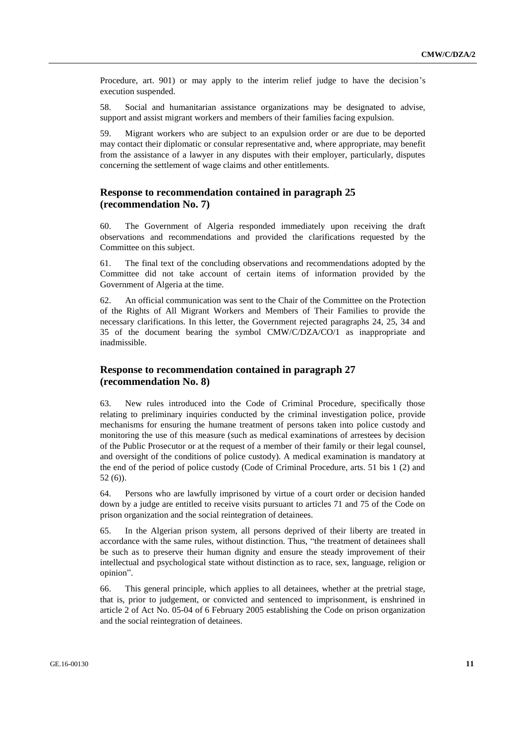Procedure, art. 901) or may apply to the interim relief judge to have the decision's execution suspended.

58. Social and humanitarian assistance organizations may be designated to advise, support and assist migrant workers and members of their families facing expulsion.

59. Migrant workers who are subject to an expulsion order or are due to be deported may contact their diplomatic or consular representative and, where appropriate, may benefit from the assistance of a lawyer in any disputes with their employer, particularly, disputes concerning the settlement of wage claims and other entitlements.

# **Response to recommendation contained in paragraph 25 (recommendation No. 7)**

60. The Government of Algeria responded immediately upon receiving the draft observations and recommendations and provided the clarifications requested by the Committee on this subject.

61. The final text of the concluding observations and recommendations adopted by the Committee did not take account of certain items of information provided by the Government of Algeria at the time.

62. An official communication was sent to the Chair of the Committee on the Protection of the Rights of All Migrant Workers and Members of Their Families to provide the necessary clarifications. In this letter, the Government rejected paragraphs 24, 25, 34 and 35 of the document bearing the symbol CMW/C/DZA/CO/1 as inappropriate and inadmissible.

# **Response to recommendation contained in paragraph 27 (recommendation No. 8)**

63. New rules introduced into the Code of Criminal Procedure, specifically those relating to preliminary inquiries conducted by the criminal investigation police, provide mechanisms for ensuring the humane treatment of persons taken into police custody and monitoring the use of this measure (such as medical examinations of arrestees by decision of the Public Prosecutor or at the request of a member of their family or their legal counsel, and oversight of the conditions of police custody). A medical examination is mandatory at the end of the period of police custody (Code of Criminal Procedure, arts. 51 bis 1 (2) and 52 (6)).

64. Persons who are lawfully imprisoned by virtue of a court order or decision handed down by a judge are entitled to receive visits pursuant to articles 71 and 75 of the Code on prison organization and the social reintegration of detainees.

65. In the Algerian prison system, all persons deprived of their liberty are treated in accordance with the same rules, without distinction. Thus, "the treatment of detainees shall be such as to preserve their human dignity and ensure the steady improvement of their intellectual and psychological state without distinction as to race, sex, language, religion or opinion".

66. This general principle, which applies to all detainees, whether at the pretrial stage, that is, prior to judgement, or convicted and sentenced to imprisonment, is enshrined in article 2 of Act No. 05-04 of 6 February 2005 establishing the Code on prison organization and the social reintegration of detainees.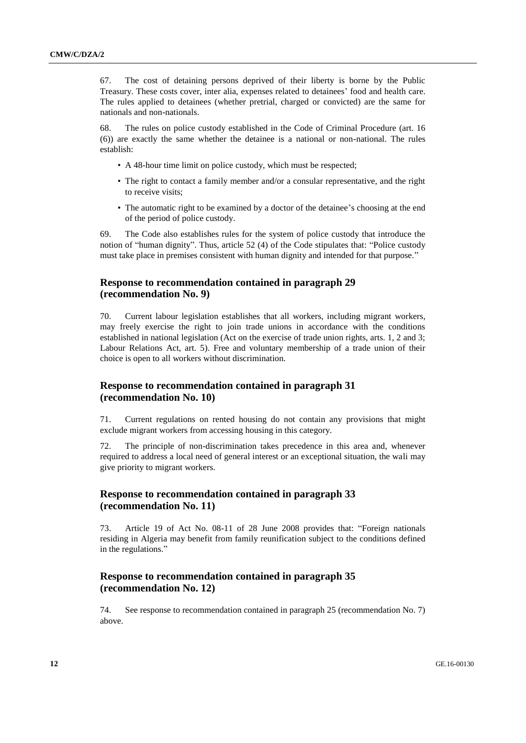67. The cost of detaining persons deprived of their liberty is borne by the Public Treasury. These costs cover, inter alia, expenses related to detainees' food and health care. The rules applied to detainees (whether pretrial, charged or convicted) are the same for nationals and non-nationals.

68. The rules on police custody established in the Code of Criminal Procedure (art. 16 (6)) are exactly the same whether the detainee is a national or non-national. The rules establish:

- A 48-hour time limit on police custody, which must be respected;
- The right to contact a family member and/or a consular representative, and the right to receive visits;
- The automatic right to be examined by a doctor of the detainee's choosing at the end of the period of police custody.

69. The Code also establishes rules for the system of police custody that introduce the notion of "human dignity". Thus, article 52 (4) of the Code stipulates that: "Police custody must take place in premises consistent with human dignity and intended for that purpose."

# **Response to recommendation contained in paragraph 29 (recommendation No. 9)**

70. Current labour legislation establishes that all workers, including migrant workers, may freely exercise the right to join trade unions in accordance with the conditions established in national legislation (Act on the exercise of trade union rights, arts. 1, 2 and 3; Labour Relations Act, art. 5). Free and voluntary membership of a trade union of their choice is open to all workers without discrimination.

# **Response to recommendation contained in paragraph 31 (recommendation No. 10)**

71. Current regulations on rented housing do not contain any provisions that might exclude migrant workers from accessing housing in this category.

72. The principle of non-discrimination takes precedence in this area and, whenever required to address a local need of general interest or an exceptional situation, the wali may give priority to migrant workers.

# **Response to recommendation contained in paragraph 33 (recommendation No. 11)**

73. Article 19 of Act No. 08-11 of 28 June 2008 provides that: "Foreign nationals residing in Algeria may benefit from family reunification subject to the conditions defined in the regulations."

# **Response to recommendation contained in paragraph 35 (recommendation No. 12)**

74. See response to recommendation contained in paragraph 25 (recommendation No. 7) above.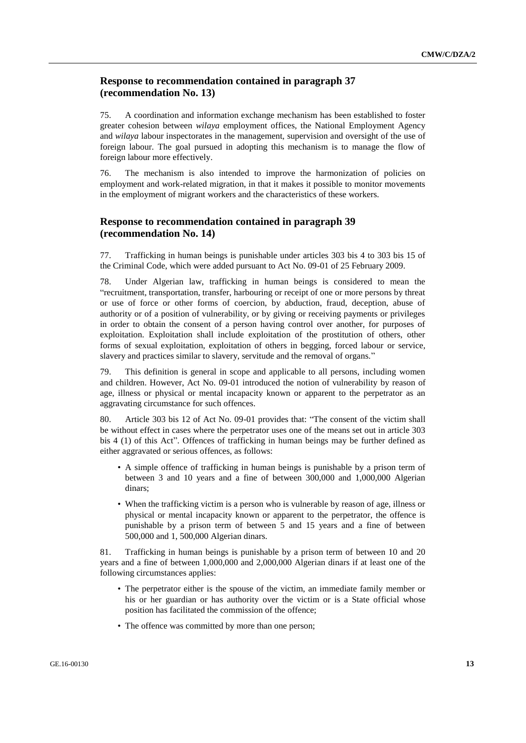# **Response to recommendation contained in paragraph 37 (recommendation No. 13)**

75. A coordination and information exchange mechanism has been established to foster greater cohesion between *wilaya* employment offices, the National Employment Agency and *wilaya* labour inspectorates in the management, supervision and oversight of the use of foreign labour. The goal pursued in adopting this mechanism is to manage the flow of foreign labour more effectively.

76. The mechanism is also intended to improve the harmonization of policies on employment and work-related migration, in that it makes it possible to monitor movements in the employment of migrant workers and the characteristics of these workers.

# **Response to recommendation contained in paragraph 39 (recommendation No. 14)**

77. Trafficking in human beings is punishable under articles 303 bis 4 to 303 bis 15 of the Criminal Code, which were added pursuant to Act No. 09-01 of 25 February 2009.

78. Under Algerian law, trafficking in human beings is considered to mean the "recruitment, transportation, transfer, harbouring or receipt of one or more persons by threat or use of force or other forms of coercion, by abduction, fraud, deception, abuse of authority or of a position of vulnerability, or by giving or receiving payments or privileges in order to obtain the consent of a person having control over another, for purposes of exploitation. Exploitation shall include exploitation of the prostitution of others, other forms of sexual exploitation, exploitation of others in begging, forced labour or service, slavery and practices similar to slavery, servitude and the removal of organs."

79. This definition is general in scope and applicable to all persons, including women and children. However, Act No. 09-01 introduced the notion of vulnerability by reason of age, illness or physical or mental incapacity known or apparent to the perpetrator as an aggravating circumstance for such offences.

80. Article 303 bis 12 of Act No. 09-01 provides that: "The consent of the victim shall be without effect in cases where the perpetrator uses one of the means set out in article 303 bis 4 (1) of this Act". Offences of trafficking in human beings may be further defined as either aggravated or serious offences, as follows:

- A simple offence of trafficking in human beings is punishable by a prison term of between 3 and 10 years and a fine of between 300,000 and 1,000,000 Algerian dinars;
- When the trafficking victim is a person who is vulnerable by reason of age, illness or physical or mental incapacity known or apparent to the perpetrator, the offence is punishable by a prison term of between 5 and 15 years and a fine of between 500,000 and 1, 500,000 Algerian dinars.

81. Trafficking in human beings is punishable by a prison term of between 10 and 20 years and a fine of between 1,000,000 and 2,000,000 Algerian dinars if at least one of the following circumstances applies:

- The perpetrator either is the spouse of the victim, an immediate family member or his or her guardian or has authority over the victim or is a State official whose position has facilitated the commission of the offence;
- The offence was committed by more than one person;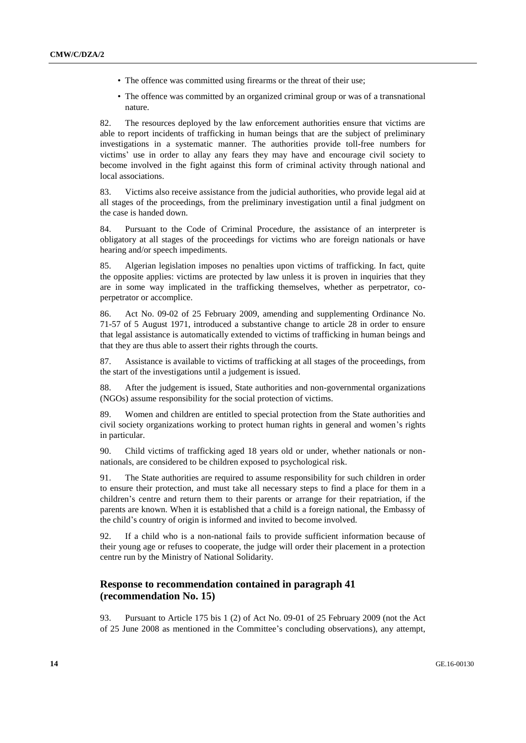- The offence was committed using firearms or the threat of their use;
- The offence was committed by an organized criminal group or was of a transnational nature.

82. The resources deployed by the law enforcement authorities ensure that victims are able to report incidents of trafficking in human beings that are the subject of preliminary investigations in a systematic manner. The authorities provide toll-free numbers for victims' use in order to allay any fears they may have and encourage civil society to become involved in the fight against this form of criminal activity through national and local associations.

83. Victims also receive assistance from the judicial authorities, who provide legal aid at all stages of the proceedings, from the preliminary investigation until a final judgment on the case is handed down.

84. Pursuant to the Code of Criminal Procedure, the assistance of an interpreter is obligatory at all stages of the proceedings for victims who are foreign nationals or have hearing and/or speech impediments.

85. Algerian legislation imposes no penalties upon victims of trafficking. In fact, quite the opposite applies: victims are protected by law unless it is proven in inquiries that they are in some way implicated in the trafficking themselves, whether as perpetrator, coperpetrator or accomplice.

86. Act No. 09-02 of 25 February 2009, amending and supplementing Ordinance No. 71-57 of 5 August 1971, introduced a substantive change to article 28 in order to ensure that legal assistance is automatically extended to victims of trafficking in human beings and that they are thus able to assert their rights through the courts.

87. Assistance is available to victims of trafficking at all stages of the proceedings, from the start of the investigations until a judgement is issued.

88. After the judgement is issued, State authorities and non-governmental organizations (NGOs) assume responsibility for the social protection of victims.

89. Women and children are entitled to special protection from the State authorities and civil society organizations working to protect human rights in general and women's rights in particular.

90. Child victims of trafficking aged 18 years old or under, whether nationals or nonnationals, are considered to be children exposed to psychological risk.

91. The State authorities are required to assume responsibility for such children in order to ensure their protection, and must take all necessary steps to find a place for them in a children's centre and return them to their parents or arrange for their repatriation, if the parents are known. When it is established that a child is a foreign national, the Embassy of the child's country of origin is informed and invited to become involved.

92. If a child who is a non-national fails to provide sufficient information because of their young age or refuses to cooperate, the judge will order their placement in a protection centre run by the Ministry of National Solidarity.

# **Response to recommendation contained in paragraph 41 (recommendation No. 15)**

93. Pursuant to Article 175 bis 1 (2) of Act No. 09-01 of 25 February 2009 (not the Act of 25 June 2008 as mentioned in the Committee's concluding observations), any attempt,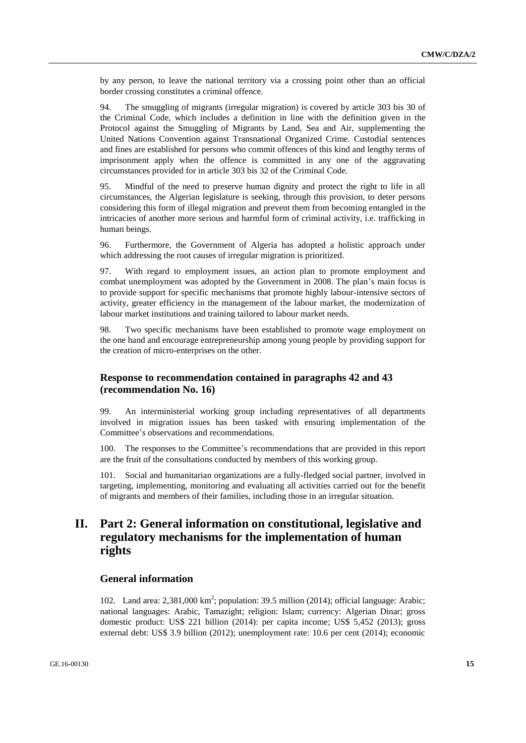by any person, to leave the national territory via a crossing point other than an official border crossing constitutes a criminal offence.

94. The smuggling of migrants (irregular migration) is covered by article 303 bis 30 of the Criminal Code, which includes a definition in line with the definition given in the Protocol against the Smuggling of Migrants by Land, Sea and Air, supplementing the United Nations Convention against Transnational Organized Crime. Custodial sentences and fines are established for persons who commit offences of this kind and lengthy terms of imprisonment apply when the offence is committed in any one of the aggravating circumstances provided for in article 303 bis 32 of the Criminal Code.

95. Mindful of the need to preserve human dignity and protect the right to life in all circumstances, the Algerian legislature is seeking, through this provision, to deter persons considering this form of illegal migration and prevent them from becoming entangled in the intricacies of another more serious and harmful form of criminal activity, i.e. trafficking in human beings.

96. Furthermore, the Government of Algeria has adopted a holistic approach under which addressing the root causes of irregular migration is prioritized.

97. With regard to employment issues, an action plan to promote employment and combat unemployment was adopted by the Government in 2008. The plan's main focus is to provide support for specific mechanisms that promote highly labour-intensive sectors of activity, greater efficiency in the management of the labour market, the modernization of labour market institutions and training tailored to labour market needs.

98. Two specific mechanisms have been established to promote wage employment on the one hand and encourage entrepreneurship among young people by providing support for the creation of micro-enterprises on the other.

# **Response to recommendation contained in paragraphs 42 and 43 (recommendation No. 16)**

99. An interministerial working group including representatives of all departments involved in migration issues has been tasked with ensuring implementation of the Committee's observations and recommendations.

100. The responses to the Committee's recommendations that are provided in this report are the fruit of the consultations conducted by members of this working group.

Social and humanitarian organizations are a fully-fledged social partner, involved in targeting, implementing, monitoring and evaluating all activities carried out for the benefit of migrants and members of their families, including those in an irregular situation.

# **II. Part 2: General information on constitutional, legislative and regulatory mechanisms for the implementation of human rights**

# **General information**

102. Land area: 2,381,000 km<sup>2</sup>; population: 39.5 million (2014); official language: Arabic; national languages: Arabic, Tamazight; religion: Islam; currency: Algerian Dinar; gross domestic product: US\$ 221 billion (2014): per capita income; US\$ 5,452 (2013); gross external debt: US\$ 3.9 billion (2012); unemployment rate: 10.6 per cent (2014); economic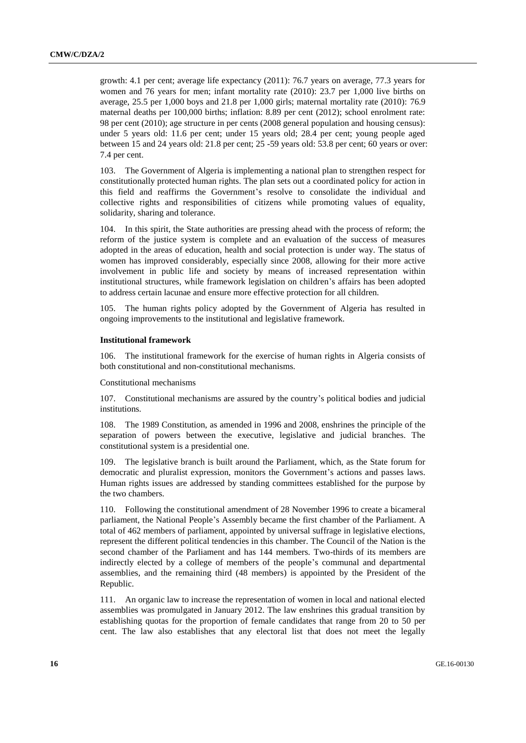growth: 4.1 per cent; average life expectancy (2011): 76.7 years on average, 77.3 years for women and 76 years for men; infant mortality rate (2010): 23.7 per 1,000 live births on average, 25.5 per 1,000 boys and 21.8 per 1,000 girls; maternal mortality rate (2010): 76.9 maternal deaths per 100,000 births; inflation: 8.89 per cent (2012); school enrolment rate: 98 per cent (2010); age structure in per cents (2008 general population and housing census): under 5 years old: 11.6 per cent; under 15 years old; 28.4 per cent; young people aged between 15 and 24 years old: 21.8 per cent; 25 -59 years old: 53.8 per cent; 60 years or over: 7.4 per cent.

103. The Government of Algeria is implementing a national plan to strengthen respect for constitutionally protected human rights. The plan sets out a coordinated policy for action in this field and reaffirms the Government's resolve to consolidate the individual and collective rights and responsibilities of citizens while promoting values of equality, solidarity, sharing and tolerance.

104. In this spirit, the State authorities are pressing ahead with the process of reform; the reform of the justice system is complete and an evaluation of the success of measures adopted in the areas of education, health and social protection is under way. The status of women has improved considerably, especially since 2008, allowing for their more active involvement in public life and society by means of increased representation within institutional structures, while framework legislation on children's affairs has been adopted to address certain lacunae and ensure more effective protection for all children.

105. The human rights policy adopted by the Government of Algeria has resulted in ongoing improvements to the institutional and legislative framework.

#### **Institutional framework**

106. The institutional framework for the exercise of human rights in Algeria consists of both constitutional and non-constitutional mechanisms.

Constitutional mechanisms

107. Constitutional mechanisms are assured by the country's political bodies and judicial institutions.

108. The 1989 Constitution, as amended in 1996 and 2008, enshrines the principle of the separation of powers between the executive, legislative and judicial branches. The constitutional system is a presidential one.

109. The legislative branch is built around the Parliament, which, as the State forum for democratic and pluralist expression, monitors the Government's actions and passes laws. Human rights issues are addressed by standing committees established for the purpose by the two chambers.

110. Following the constitutional amendment of 28 November 1996 to create a bicameral parliament, the National People's Assembly became the first chamber of the Parliament. A total of 462 members of parliament, appointed by universal suffrage in legislative elections, represent the different political tendencies in this chamber. The Council of the Nation is the second chamber of the Parliament and has 144 members. Two-thirds of its members are indirectly elected by a college of members of the people's communal and departmental assemblies, and the remaining third (48 members) is appointed by the President of the Republic.

111. An organic law to increase the representation of women in local and national elected assemblies was promulgated in January 2012. The law enshrines this gradual transition by establishing quotas for the proportion of female candidates that range from 20 to 50 per cent. The law also establishes that any electoral list that does not meet the legally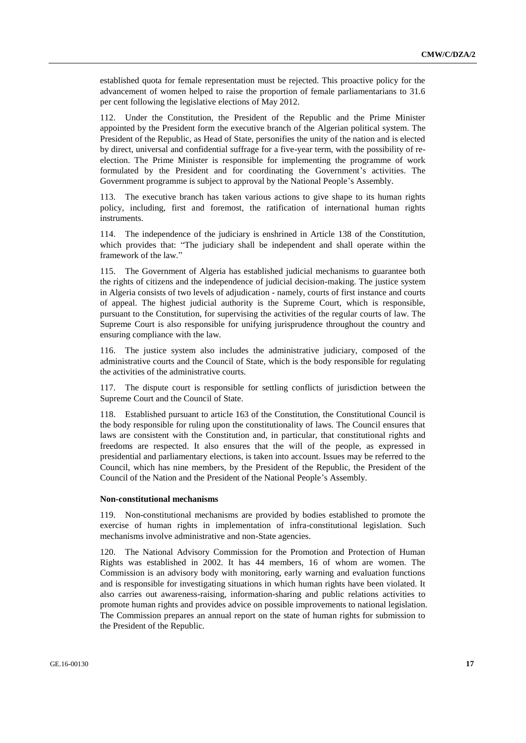established quota for female representation must be rejected. This proactive policy for the advancement of women helped to raise the proportion of female parliamentarians to 31.6 per cent following the legislative elections of May 2012.

112. Under the Constitution, the President of the Republic and the Prime Minister appointed by the President form the executive branch of the Algerian political system. The President of the Republic, as Head of State, personifies the unity of the nation and is elected by direct, universal and confidential suffrage for a five-year term, with the possibility of reelection. The Prime Minister is responsible for implementing the programme of work formulated by the President and for coordinating the Government's activities. The Government programme is subject to approval by the National People's Assembly.

113. The executive branch has taken various actions to give shape to its human rights policy, including, first and foremost, the ratification of international human rights instruments.

114. The independence of the judiciary is enshrined in Article 138 of the Constitution, which provides that: "The judiciary shall be independent and shall operate within the framework of the law."

115. The Government of Algeria has established judicial mechanisms to guarantee both the rights of citizens and the independence of judicial decision-making. The justice system in Algeria consists of two levels of adjudication - namely, courts of first instance and courts of appeal. The highest judicial authority is the Supreme Court, which is responsible, pursuant to the Constitution, for supervising the activities of the regular courts of law. The Supreme Court is also responsible for unifying jurisprudence throughout the country and ensuring compliance with the law.

116. The justice system also includes the administrative judiciary, composed of the administrative courts and the Council of State, which is the body responsible for regulating the activities of the administrative courts.

117. The dispute court is responsible for settling conflicts of jurisdiction between the Supreme Court and the Council of State.

118. Established pursuant to article 163 of the Constitution, the Constitutional Council is the body responsible for ruling upon the constitutionality of laws. The Council ensures that laws are consistent with the Constitution and, in particular, that constitutional rights and freedoms are respected. It also ensures that the will of the people, as expressed in presidential and parliamentary elections, is taken into account. Issues may be referred to the Council, which has nine members, by the President of the Republic, the President of the Council of the Nation and the President of the National People's Assembly.

#### **Non-constitutional mechanisms**

119. Non-constitutional mechanisms are provided by bodies established to promote the exercise of human rights in implementation of infra-constitutional legislation. Such mechanisms involve administrative and non-State agencies.

120. The National Advisory Commission for the Promotion and Protection of Human Rights was established in 2002. It has 44 members, 16 of whom are women. The Commission is an advisory body with monitoring, early warning and evaluation functions and is responsible for investigating situations in which human rights have been violated. It also carries out awareness-raising, information-sharing and public relations activities to promote human rights and provides advice on possible improvements to national legislation. The Commission prepares an annual report on the state of human rights for submission to the President of the Republic.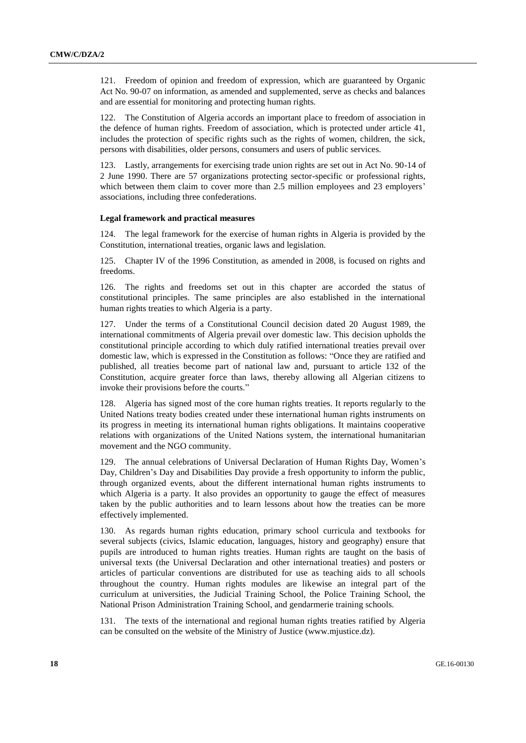121. Freedom of opinion and freedom of expression, which are guaranteed by Organic Act No. 90-07 on information, as amended and supplemented, serve as checks and balances and are essential for monitoring and protecting human rights.

122. The Constitution of Algeria accords an important place to freedom of association in the defence of human rights. Freedom of association, which is protected under article 41, includes the protection of specific rights such as the rights of women, children, the sick, persons with disabilities, older persons, consumers and users of public services.

123. Lastly, arrangements for exercising trade union rights are set out in Act No. 90-14 of 2 June 1990. There are 57 organizations protecting sector-specific or professional rights, which between them claim to cover more than 2.5 million employees and 23 employers' associations, including three confederations.

### **Legal framework and practical measures**

124. The legal framework for the exercise of human rights in Algeria is provided by the Constitution, international treaties, organic laws and legislation.

125. Chapter IV of the 1996 Constitution, as amended in 2008, is focused on rights and freedoms.

126. The rights and freedoms set out in this chapter are accorded the status of constitutional principles. The same principles are also established in the international human rights treaties to which Algeria is a party.

127. Under the terms of a Constitutional Council decision dated 20 August 1989, the international commitments of Algeria prevail over domestic law. This decision upholds the constitutional principle according to which duly ratified international treaties prevail over domestic law, which is expressed in the Constitution as follows: "Once they are ratified and published, all treaties become part of national law and, pursuant to article 132 of the Constitution, acquire greater force than laws, thereby allowing all Algerian citizens to invoke their provisions before the courts."

128. Algeria has signed most of the core human rights treaties. It reports regularly to the United Nations treaty bodies created under these international human rights instruments on its progress in meeting its international human rights obligations. It maintains cooperative relations with organizations of the United Nations system, the international humanitarian movement and the NGO community.

129. The annual celebrations of Universal Declaration of Human Rights Day, Women's Day, Children's Day and Disabilities Day provide a fresh opportunity to inform the public, through organized events, about the different international human rights instruments to which Algeria is a party. It also provides an opportunity to gauge the effect of measures taken by the public authorities and to learn lessons about how the treaties can be more effectively implemented.

130. As regards human rights education, primary school curricula and textbooks for several subjects (civics, Islamic education, languages, history and geography) ensure that pupils are introduced to human rights treaties. Human rights are taught on the basis of universal texts (the Universal Declaration and other international treaties) and posters or articles of particular conventions are distributed for use as teaching aids to all schools throughout the country. Human rights modules are likewise an integral part of the curriculum at universities, the Judicial Training School, the Police Training School, the National Prison Administration Training School, and gendarmerie training schools.

131. The texts of the international and regional human rights treaties ratified by Algeria can be consulted on the website of the Ministry of Justice (www.mjustice.dz).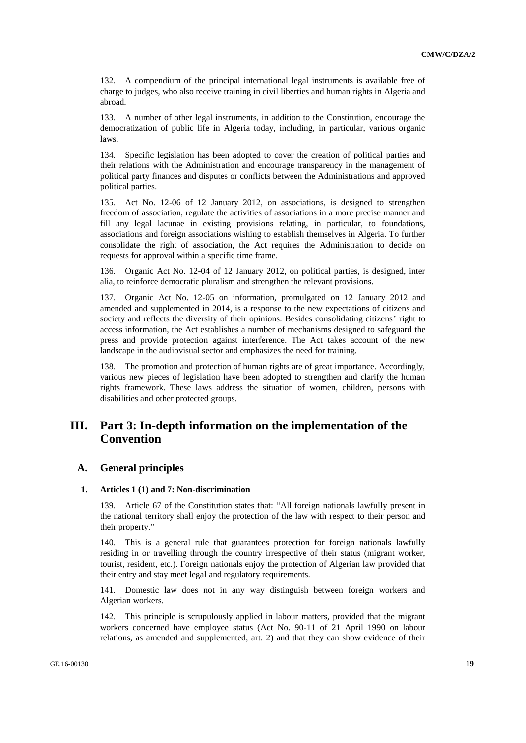132. A compendium of the principal international legal instruments is available free of charge to judges, who also receive training in civil liberties and human rights in Algeria and abroad.

133. A number of other legal instruments, in addition to the Constitution, encourage the democratization of public life in Algeria today, including, in particular, various organic laws.

134. Specific legislation has been adopted to cover the creation of political parties and their relations with the Administration and encourage transparency in the management of political party finances and disputes or conflicts between the Administrations and approved political parties.

135. Act No. 12-06 of 12 January 2012, on associations, is designed to strengthen freedom of association, regulate the activities of associations in a more precise manner and fill any legal lacunae in existing provisions relating, in particular, to foundations, associations and foreign associations wishing to establish themselves in Algeria. To further consolidate the right of association, the Act requires the Administration to decide on requests for approval within a specific time frame.

136. Organic Act No. 12-04 of 12 January 2012, on political parties, is designed, inter alia, to reinforce democratic pluralism and strengthen the relevant provisions.

137. Organic Act No. 12-05 on information, promulgated on 12 January 2012 and amended and supplemented in 2014, is a response to the new expectations of citizens and society and reflects the diversity of their opinions. Besides consolidating citizens' right to access information, the Act establishes a number of mechanisms designed to safeguard the press and provide protection against interference. The Act takes account of the new landscape in the audiovisual sector and emphasizes the need for training.

The promotion and protection of human rights are of great importance. Accordingly, various new pieces of legislation have been adopted to strengthen and clarify the human rights framework. These laws address the situation of women, children, persons with disabilities and other protected groups.

# **III. Part 3: In-depth information on the implementation of the Convention**

# **A. General principles**

### **1. Articles 1 (1) and 7: Non-discrimination**

Article 67 of the Constitution states that: "All foreign nationals lawfully present in the national territory shall enjoy the protection of the law with respect to their person and their property."

140. This is a general rule that guarantees protection for foreign nationals lawfully residing in or travelling through the country irrespective of their status (migrant worker, tourist, resident, etc.). Foreign nationals enjoy the protection of Algerian law provided that their entry and stay meet legal and regulatory requirements.

141. Domestic law does not in any way distinguish between foreign workers and Algerian workers.

142. This principle is scrupulously applied in labour matters, provided that the migrant workers concerned have employee status (Act No. 90-11 of 21 April 1990 on labour relations, as amended and supplemented, art. 2) and that they can show evidence of their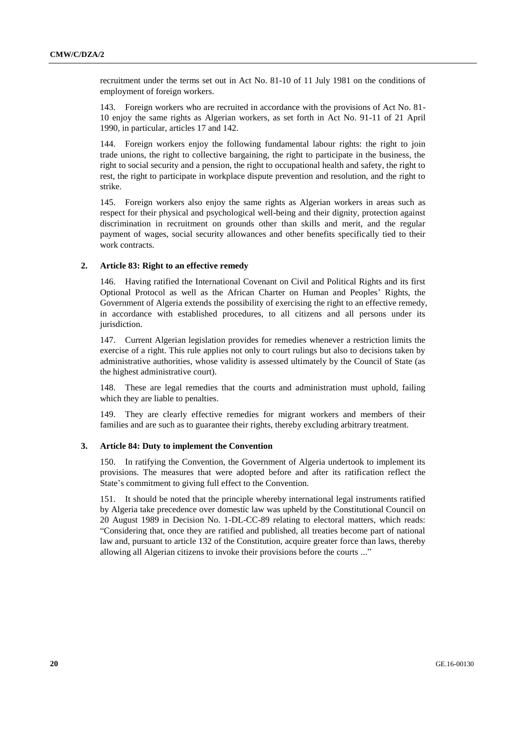recruitment under the terms set out in Act No. 81-10 of 11 July 1981 on the conditions of employment of foreign workers.

143. Foreign workers who are recruited in accordance with the provisions of Act No. 81- 10 enjoy the same rights as Algerian workers, as set forth in Act No. 91-11 of 21 April 1990, in particular, articles 17 and 142.

144. Foreign workers enjoy the following fundamental labour rights: the right to join trade unions, the right to collective bargaining, the right to participate in the business, the right to social security and a pension, the right to occupational health and safety, the right to rest, the right to participate in workplace dispute prevention and resolution, and the right to strike.

145. Foreign workers also enjoy the same rights as Algerian workers in areas such as respect for their physical and psychological well-being and their dignity, protection against discrimination in recruitment on grounds other than skills and merit, and the regular payment of wages, social security allowances and other benefits specifically tied to their work contracts.

# **2. Article 83: Right to an effective remedy**

146. Having ratified the International Covenant on Civil and Political Rights and its first Optional Protocol as well as the African Charter on Human and Peoples' Rights, the Government of Algeria extends the possibility of exercising the right to an effective remedy, in accordance with established procedures, to all citizens and all persons under its jurisdiction.

147. Current Algerian legislation provides for remedies whenever a restriction limits the exercise of a right. This rule applies not only to court rulings but also to decisions taken by administrative authorities, whose validity is assessed ultimately by the Council of State (as the highest administrative court).

148. These are legal remedies that the courts and administration must uphold, failing which they are liable to penalties.

149. They are clearly effective remedies for migrant workers and members of their families and are such as to guarantee their rights, thereby excluding arbitrary treatment.

### **3. Article 84: Duty to implement the Convention**

150. In ratifying the Convention, the Government of Algeria undertook to implement its provisions. The measures that were adopted before and after its ratification reflect the State's commitment to giving full effect to the Convention.

151. It should be noted that the principle whereby international legal instruments ratified by Algeria take precedence over domestic law was upheld by the Constitutional Council on 20 August 1989 in Decision No. 1-DL-CC-89 relating to electoral matters, which reads: "Considering that, once they are ratified and published, all treaties become part of national law and, pursuant to article 132 of the Constitution, acquire greater force than laws, thereby allowing all Algerian citizens to invoke their provisions before the courts ..."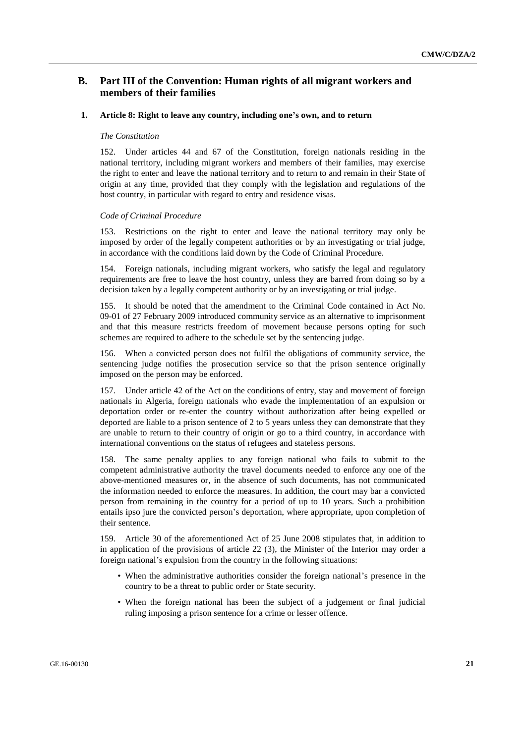# **B. Part III of the Convention: Human rights of all migrant workers and members of their families**

### **1. Article 8: Right to leave any country, including one's own, and to return**

#### *The Constitution*

152. Under articles 44 and 67 of the Constitution, foreign nationals residing in the national territory, including migrant workers and members of their families, may exercise the right to enter and leave the national territory and to return to and remain in their State of origin at any time, provided that they comply with the legislation and regulations of the host country, in particular with regard to entry and residence visas.

#### *Code of Criminal Procedure*

153. Restrictions on the right to enter and leave the national territory may only be imposed by order of the legally competent authorities or by an investigating or trial judge, in accordance with the conditions laid down by the Code of Criminal Procedure.

154. Foreign nationals, including migrant workers, who satisfy the legal and regulatory requirements are free to leave the host country, unless they are barred from doing so by a decision taken by a legally competent authority or by an investigating or trial judge.

155. It should be noted that the amendment to the Criminal Code contained in Act No. 09-01 of 27 February 2009 introduced community service as an alternative to imprisonment and that this measure restricts freedom of movement because persons opting for such schemes are required to adhere to the schedule set by the sentencing judge.

156. When a convicted person does not fulfil the obligations of community service, the sentencing judge notifies the prosecution service so that the prison sentence originally imposed on the person may be enforced.

157. Under article 42 of the Act on the conditions of entry, stay and movement of foreign nationals in Algeria, foreign nationals who evade the implementation of an expulsion or deportation order or re-enter the country without authorization after being expelled or deported are liable to a prison sentence of 2 to 5 years unless they can demonstrate that they are unable to return to their country of origin or go to a third country, in accordance with international conventions on the status of refugees and stateless persons.

158. The same penalty applies to any foreign national who fails to submit to the competent administrative authority the travel documents needed to enforce any one of the above-mentioned measures or, in the absence of such documents, has not communicated the information needed to enforce the measures. In addition, the court may bar a convicted person from remaining in the country for a period of up to 10 years. Such a prohibition entails ipso jure the convicted person's deportation, where appropriate, upon completion of their sentence.

159. Article 30 of the aforementioned Act of 25 June 2008 stipulates that, in addition to in application of the provisions of article 22 (3), the Minister of the Interior may order a foreign national's expulsion from the country in the following situations:

- When the administrative authorities consider the foreign national's presence in the country to be a threat to public order or State security.
- When the foreign national has been the subject of a judgement or final judicial ruling imposing a prison sentence for a crime or lesser offence.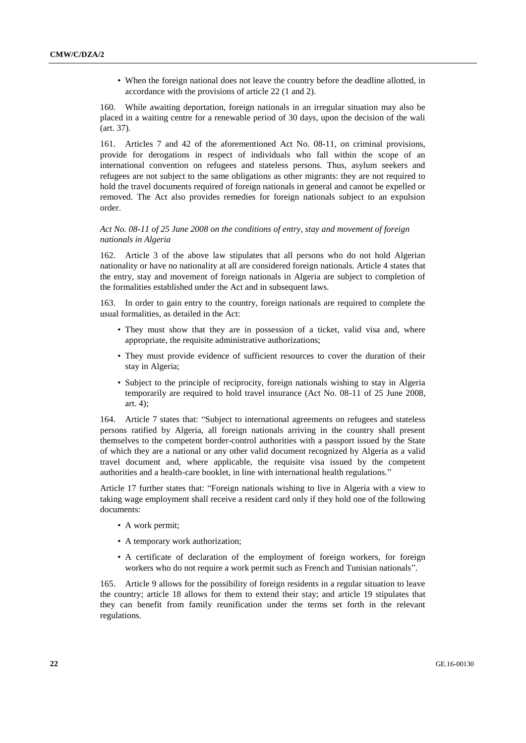• When the foreign national does not leave the country before the deadline allotted, in accordance with the provisions of article 22 (1 and 2).

160. While awaiting deportation, foreign nationals in an irregular situation may also be placed in a waiting centre for a renewable period of 30 days, upon the decision of the wali (art. 37).

161. Articles 7 and 42 of the aforementioned Act No. 08-11, on criminal provisions, provide for derogations in respect of individuals who fall within the scope of an international convention on refugees and stateless persons. Thus, asylum seekers and refugees are not subject to the same obligations as other migrants: they are not required to hold the travel documents required of foreign nationals in general and cannot be expelled or removed. The Act also provides remedies for foreign nationals subject to an expulsion order.

### *Act No. 08-11 of 25 June 2008 on the conditions of entry, stay and movement of foreign nationals in Algeria*

162. Article 3 of the above law stipulates that all persons who do not hold Algerian nationality or have no nationality at all are considered foreign nationals. Article 4 states that the entry, stay and movement of foreign nationals in Algeria are subject to completion of the formalities established under the Act and in subsequent laws.

163. In order to gain entry to the country, foreign nationals are required to complete the usual formalities, as detailed in the Act:

- They must show that they are in possession of a ticket, valid visa and, where appropriate, the requisite administrative authorizations;
- They must provide evidence of sufficient resources to cover the duration of their stay in Algeria;
- Subject to the principle of reciprocity, foreign nationals wishing to stay in Algeria temporarily are required to hold travel insurance (Act No. 08-11 of 25 June 2008, art. 4);

164. Article 7 states that: "Subject to international agreements on refugees and stateless persons ratified by Algeria, all foreign nationals arriving in the country shall present themselves to the competent border-control authorities with a passport issued by the State of which they are a national or any other valid document recognized by Algeria as a valid travel document and, where applicable, the requisite visa issued by the competent authorities and a health-care booklet, in line with international health regulations."

Article 17 further states that: "Foreign nationals wishing to live in Algeria with a view to taking wage employment shall receive a resident card only if they hold one of the following documents:

- A work permit;
- A temporary work authorization;
- A certificate of declaration of the employment of foreign workers, for foreign workers who do not require a work permit such as French and Tunisian nationals".

165. Article 9 allows for the possibility of foreign residents in a regular situation to leave the country; article 18 allows for them to extend their stay; and article 19 stipulates that they can benefit from family reunification under the terms set forth in the relevant regulations.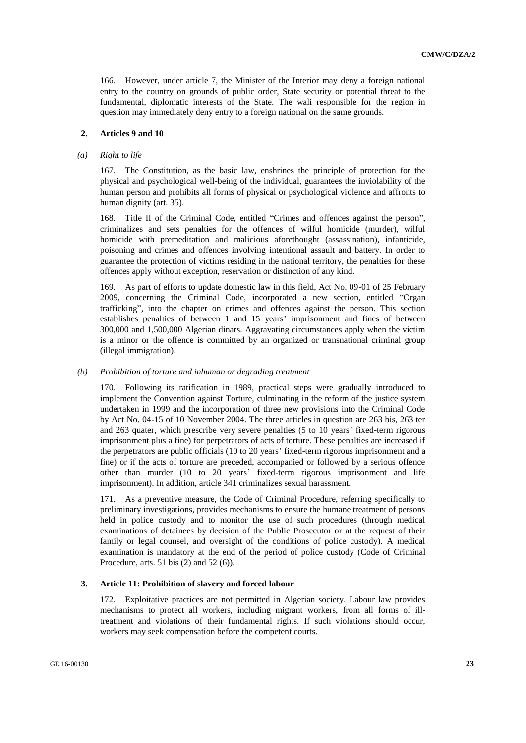166. However, under article 7, the Minister of the Interior may deny a foreign national entry to the country on grounds of public order, State security or potential threat to the fundamental, diplomatic interests of the State. The wali responsible for the region in question may immediately deny entry to a foreign national on the same grounds.

### **2. Articles 9 and 10**

### *(a) Right to life*

167. The Constitution, as the basic law, enshrines the principle of protection for the physical and psychological well-being of the individual, guarantees the inviolability of the human person and prohibits all forms of physical or psychological violence and affronts to human dignity (art. 35).

168. Title II of the Criminal Code, entitled "Crimes and offences against the person", criminalizes and sets penalties for the offences of wilful homicide (murder), wilful homicide with premeditation and malicious aforethought (assassination), infanticide, poisoning and crimes and offences involving intentional assault and battery. In order to guarantee the protection of victims residing in the national territory, the penalties for these offences apply without exception, reservation or distinction of any kind.

169. As part of efforts to update domestic law in this field, Act No. 09-01 of 25 February 2009, concerning the Criminal Code, incorporated a new section, entitled "Organ trafficking", into the chapter on crimes and offences against the person. This section establishes penalties of between 1 and 15 years' imprisonment and fines of between 300,000 and 1,500,000 Algerian dinars. Aggravating circumstances apply when the victim is a minor or the offence is committed by an organized or transnational criminal group (illegal immigration).

### *(b) Prohibition of torture and inhuman or degrading treatment*

170. Following its ratification in 1989, practical steps were gradually introduced to implement the Convention against Torture, culminating in the reform of the justice system undertaken in 1999 and the incorporation of three new provisions into the Criminal Code by Act No. 04-15 of 10 November 2004. The three articles in question are 263 bis, 263 ter and 263 quater, which prescribe very severe penalties (5 to 10 years' fixed-term rigorous imprisonment plus a fine) for perpetrators of acts of torture. These penalties are increased if the perpetrators are public officials (10 to 20 years' fixed-term rigorous imprisonment and a fine) or if the acts of torture are preceded, accompanied or followed by a serious offence other than murder (10 to 20 years' fixed-term rigorous imprisonment and life imprisonment). In addition, article 341 criminalizes sexual harassment.

171. As a preventive measure, the Code of Criminal Procedure, referring specifically to preliminary investigations, provides mechanisms to ensure the humane treatment of persons held in police custody and to monitor the use of such procedures (through medical examinations of detainees by decision of the Public Prosecutor or at the request of their family or legal counsel, and oversight of the conditions of police custody). A medical examination is mandatory at the end of the period of police custody (Code of Criminal Procedure, arts. 51 bis (2) and 52 (6)).

# **3. Article 11: Prohibition of slavery and forced labour**

172. Exploitative practices are not permitted in Algerian society. Labour law provides mechanisms to protect all workers, including migrant workers, from all forms of illtreatment and violations of their fundamental rights. If such violations should occur, workers may seek compensation before the competent courts.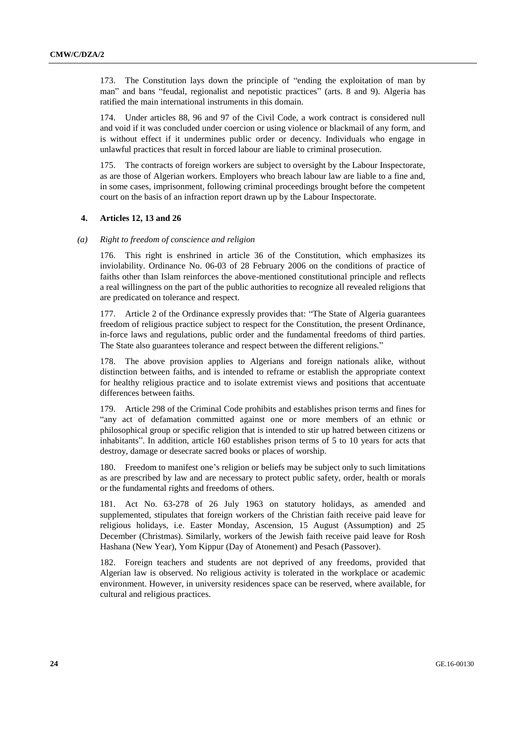173. The Constitution lays down the principle of "ending the exploitation of man by man" and bans "feudal, regionalist and nepotistic practices" (arts. 8 and 9). Algeria has ratified the main international instruments in this domain.

174. Under articles 88, 96 and 97 of the Civil Code, a work contract is considered null and void if it was concluded under coercion or using violence or blackmail of any form, and is without effect if it undermines public order or decency. Individuals who engage in unlawful practices that result in forced labour are liable to criminal prosecution.

175. The contracts of foreign workers are subject to oversight by the Labour Inspectorate, as are those of Algerian workers. Employers who breach labour law are liable to a fine and, in some cases, imprisonment, following criminal proceedings brought before the competent court on the basis of an infraction report drawn up by the Labour Inspectorate.

# **4. Articles 12, 13 and 26**

### *(a) Right to freedom of conscience and religion*

176. This right is enshrined in article 36 of the Constitution, which emphasizes its inviolability. Ordinance No. 06-03 of 28 February 2006 on the conditions of practice of faiths other than Islam reinforces the above-mentioned constitutional principle and reflects a real willingness on the part of the public authorities to recognize all revealed religions that are predicated on tolerance and respect.

177. Article 2 of the Ordinance expressly provides that: "The State of Algeria guarantees freedom of religious practice subject to respect for the Constitution, the present Ordinance, in-force laws and regulations, public order and the fundamental freedoms of third parties. The State also guarantees tolerance and respect between the different religions."

178. The above provision applies to Algerians and foreign nationals alike, without distinction between faiths, and is intended to reframe or establish the appropriate context for healthy religious practice and to isolate extremist views and positions that accentuate differences between faiths.

179. Article 298 of the Criminal Code prohibits and establishes prison terms and fines for "any act of defamation committed against one or more members of an ethnic or philosophical group or specific religion that is intended to stir up hatred between citizens or inhabitants". In addition, article 160 establishes prison terms of 5 to 10 years for acts that destroy, damage or desecrate sacred books or places of worship.

180. Freedom to manifest one's religion or beliefs may be subject only to such limitations as are prescribed by law and are necessary to protect public safety, order, health or morals or the fundamental rights and freedoms of others.

181. Act No. 63-278 of 26 July 1963 on statutory holidays, as amended and supplemented, stipulates that foreign workers of the Christian faith receive paid leave for religious holidays, i.e. Easter Monday, Ascension, 15 August (Assumption) and 25 December (Christmas). Similarly, workers of the Jewish faith receive paid leave for Rosh Hashana (New Year), Yom Kippur (Day of Atonement) and Pesach (Passover).

182. Foreign teachers and students are not deprived of any freedoms, provided that Algerian law is observed. No religious activity is tolerated in the workplace or academic environment. However, in university residences space can be reserved, where available, for cultural and religious practices.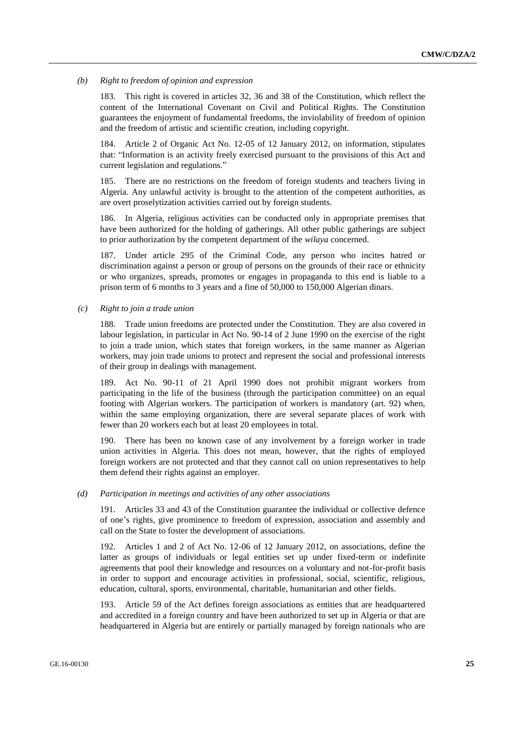#### *(b) Right to freedom of opinion and expression*

183. This right is covered in articles 32, 36 and 38 of the Constitution, which reflect the content of the International Covenant on Civil and Political Rights. The Constitution guarantees the enjoyment of fundamental freedoms, the inviolability of freedom of opinion and the freedom of artistic and scientific creation, including copyright.

184. Article 2 of Organic Act No. 12-05 of 12 January 2012, on information, stipulates that: "Information is an activity freely exercised pursuant to the provisions of this Act and current legislation and regulations."

185. There are no restrictions on the freedom of foreign students and teachers living in Algeria. Any unlawful activity is brought to the attention of the competent authorities, as are overt proselytization activities carried out by foreign students.

186. In Algeria, religious activities can be conducted only in appropriate premises that have been authorized for the holding of gatherings. All other public gatherings are subject to prior authorization by the competent department of the *wilaya* concerned.

187. Under article 295 of the Criminal Code, any person who incites hatred or discrimination against a person or group of persons on the grounds of their race or ethnicity or who organizes, spreads, promotes or engages in propaganda to this end is liable to a prison term of 6 months to 3 years and a fine of 50,000 to 150,000 Algerian dinars.

*(c) Right to join a trade union*

188. Trade union freedoms are protected under the Constitution. They are also covered in labour legislation, in particular in Act No. 90-14 of 2 June 1990 on the exercise of the right to join a trade union, which states that foreign workers, in the same manner as Algerian workers, may join trade unions to protect and represent the social and professional interests of their group in dealings with management.

189. Act No. 90-11 of 21 April 1990 does not prohibit migrant workers from participating in the life of the business (through the participation committee) on an equal footing with Algerian workers. The participation of workers is mandatory (art. 92) when, within the same employing organization, there are several separate places of work with fewer than 20 workers each but at least 20 employees in total.

190. There has been no known case of any involvement by a foreign worker in trade union activities in Algeria. This does not mean, however, that the rights of employed foreign workers are not protected and that they cannot call on union representatives to help them defend their rights against an employer.

#### *(d) Participation in meetings and activities of any other associations*

191. Articles 33 and 43 of the Constitution guarantee the individual or collective defence of one's rights, give prominence to freedom of expression, association and assembly and call on the State to foster the development of associations.

192. Articles 1 and 2 of Act No. 12-06 of 12 January 2012, on associations, define the latter as groups of individuals or legal entities set up under fixed-term or indefinite agreements that pool their knowledge and resources on a voluntary and not-for-profit basis in order to support and encourage activities in professional, social, scientific, religious, education, cultural, sports, environmental, charitable, humanitarian and other fields.

193. Article 59 of the Act defines foreign associations as entities that are headquartered and accredited in a foreign country and have been authorized to set up in Algeria or that are headquartered in Algeria but are entirely or partially managed by foreign nationals who are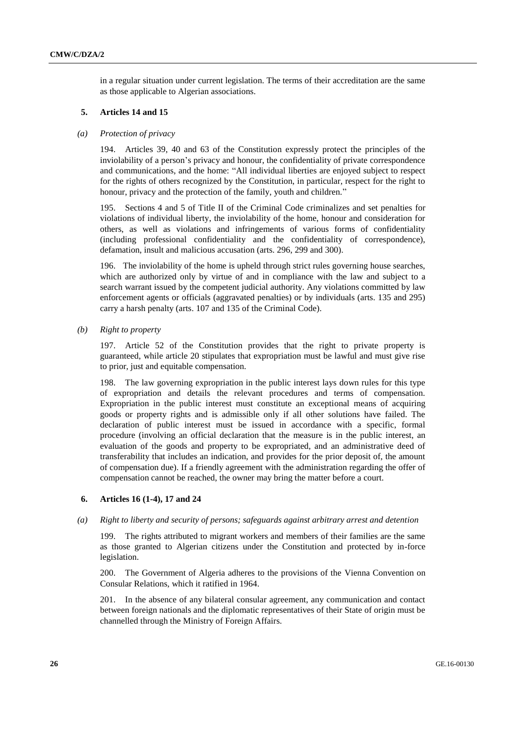in a regular situation under current legislation. The terms of their accreditation are the same as those applicable to Algerian associations.

### **5. Articles 14 and 15**

#### *(a) Protection of privacy*

194. Articles 39, 40 and 63 of the Constitution expressly protect the principles of the inviolability of a person's privacy and honour, the confidentiality of private correspondence and communications, and the home: "All individual liberties are enjoyed subject to respect for the rights of others recognized by the Constitution, in particular, respect for the right to honour, privacy and the protection of the family, youth and children."

195. Sections 4 and 5 of Title II of the Criminal Code criminalizes and set penalties for violations of individual liberty, the inviolability of the home, honour and consideration for others, as well as violations and infringements of various forms of confidentiality (including professional confidentiality and the confidentiality of correspondence), defamation, insult and malicious accusation (arts. 296, 299 and 300).

196. The inviolability of the home is upheld through strict rules governing house searches, which are authorized only by virtue of and in compliance with the law and subject to a search warrant issued by the competent judicial authority. Any violations committed by law enforcement agents or officials (aggravated penalties) or by individuals (arts. 135 and 295) carry a harsh penalty (arts. 107 and 135 of the Criminal Code).

*(b) Right to property*

197. Article 52 of the Constitution provides that the right to private property is guaranteed, while article 20 stipulates that expropriation must be lawful and must give rise to prior, just and equitable compensation.

198. The law governing expropriation in the public interest lays down rules for this type of expropriation and details the relevant procedures and terms of compensation. Expropriation in the public interest must constitute an exceptional means of acquiring goods or property rights and is admissible only if all other solutions have failed. The declaration of public interest must be issued in accordance with a specific, formal procedure (involving an official declaration that the measure is in the public interest, an evaluation of the goods and property to be expropriated, and an administrative deed of transferability that includes an indication, and provides for the prior deposit of, the amount of compensation due). If a friendly agreement with the administration regarding the offer of compensation cannot be reached, the owner may bring the matter before a court.

#### **6. Articles 16 (1-4), 17 and 24**

#### *(a) Right to liberty and security of persons; safeguards against arbitrary arrest and detention*

199. The rights attributed to migrant workers and members of their families are the same as those granted to Algerian citizens under the Constitution and protected by in-force legislation.

200. The Government of Algeria adheres to the provisions of the Vienna Convention on Consular Relations, which it ratified in 1964.

201. In the absence of any bilateral consular agreement, any communication and contact between foreign nationals and the diplomatic representatives of their State of origin must be channelled through the Ministry of Foreign Affairs.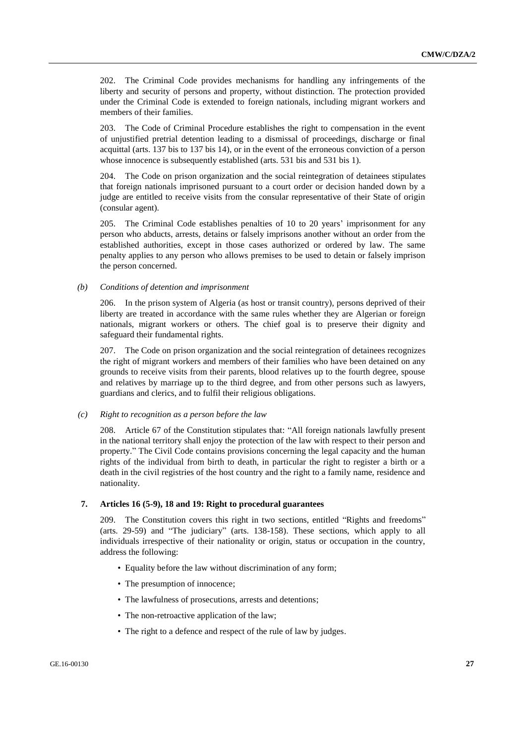202. The Criminal Code provides mechanisms for handling any infringements of the liberty and security of persons and property, without distinction. The protection provided under the Criminal Code is extended to foreign nationals, including migrant workers and members of their families.

203. The Code of Criminal Procedure establishes the right to compensation in the event of unjustified pretrial detention leading to a dismissal of proceedings, discharge or final acquittal (arts. 137 bis to 137 bis 14), or in the event of the erroneous conviction of a person whose innocence is subsequently established (arts. 531 bis and 531 bis 1).

204. The Code on prison organization and the social reintegration of detainees stipulates that foreign nationals imprisoned pursuant to a court order or decision handed down by a judge are entitled to receive visits from the consular representative of their State of origin (consular agent).

205. The Criminal Code establishes penalties of 10 to 20 years' imprisonment for any person who abducts, arrests, detains or falsely imprisons another without an order from the established authorities, except in those cases authorized or ordered by law. The same penalty applies to any person who allows premises to be used to detain or falsely imprison the person concerned.

#### *(b) Conditions of detention and imprisonment*

206. In the prison system of Algeria (as host or transit country), persons deprived of their liberty are treated in accordance with the same rules whether they are Algerian or foreign nationals, migrant workers or others. The chief goal is to preserve their dignity and safeguard their fundamental rights.

207. The Code on prison organization and the social reintegration of detainees recognizes the right of migrant workers and members of their families who have been detained on any grounds to receive visits from their parents, blood relatives up to the fourth degree, spouse and relatives by marriage up to the third degree, and from other persons such as lawyers, guardians and clerics, and to fulfil their religious obligations.

# *(c) Right to recognition as a person before the law*

208. Article 67 of the Constitution stipulates that: "All foreign nationals lawfully present in the national territory shall enjoy the protection of the law with respect to their person and property." The Civil Code contains provisions concerning the legal capacity and the human rights of the individual from birth to death, in particular the right to register a birth or a death in the civil registries of the host country and the right to a family name, residence and nationality.

#### **7. Articles 16 (5-9), 18 and 19: Right to procedural guarantees**

209. The Constitution covers this right in two sections, entitled "Rights and freedoms" (arts. 29-59) and "The judiciary" (arts. 138-158). These sections, which apply to all individuals irrespective of their nationality or origin, status or occupation in the country, address the following:

- Equality before the law without discrimination of any form;
- The presumption of innocence;
- The lawfulness of prosecutions, arrests and detentions;
- The non-retroactive application of the law;
- The right to a defence and respect of the rule of law by judges.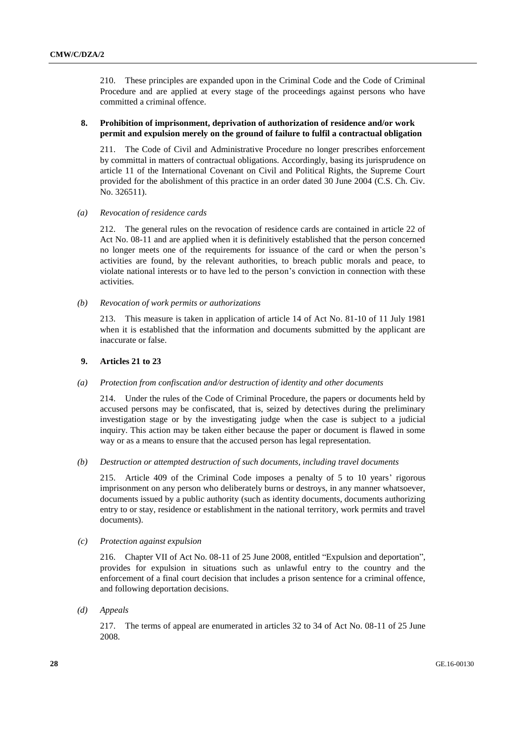210. These principles are expanded upon in the Criminal Code and the Code of Criminal Procedure and are applied at every stage of the proceedings against persons who have committed a criminal offence.

### **8. Prohibition of imprisonment, deprivation of authorization of residence and/or work permit and expulsion merely on the ground of failure to fulfil a contractual obligation**

211. The Code of Civil and Administrative Procedure no longer prescribes enforcement by committal in matters of contractual obligations. Accordingly, basing its jurisprudence on article 11 of the International Covenant on Civil and Political Rights, the Supreme Court provided for the abolishment of this practice in an order dated 30 June 2004 (C.S. Ch. Civ. No. 326511).

*(a) Revocation of residence cards*

212. The general rules on the revocation of residence cards are contained in article 22 of Act No. 08-11 and are applied when it is definitively established that the person concerned no longer meets one of the requirements for issuance of the card or when the person's activities are found, by the relevant authorities, to breach public morals and peace, to violate national interests or to have led to the person's conviction in connection with these activities.

*(b) Revocation of work permits or authorizations*

213. This measure is taken in application of article 14 of Act No. 81-10 of 11 July 1981 when it is established that the information and documents submitted by the applicant are inaccurate or false.

### **9. Articles 21 to 23**

### *(a) Protection from confiscation and/or destruction of identity and other documents*

214. Under the rules of the Code of Criminal Procedure, the papers or documents held by accused persons may be confiscated, that is, seized by detectives during the preliminary investigation stage or by the investigating judge when the case is subject to a judicial inquiry. This action may be taken either because the paper or document is flawed in some way or as a means to ensure that the accused person has legal representation.

*(b) Destruction or attempted destruction of such documents, including travel documents*

215. Article 409 of the Criminal Code imposes a penalty of 5 to 10 years' rigorous imprisonment on any person who deliberately burns or destroys, in any manner whatsoever, documents issued by a public authority (such as identity documents, documents authorizing entry to or stay, residence or establishment in the national territory, work permits and travel documents).

*(c) Protection against expulsion*

216. Chapter VII of Act No. 08-11 of 25 June 2008, entitled "Expulsion and deportation", provides for expulsion in situations such as unlawful entry to the country and the enforcement of a final court decision that includes a prison sentence for a criminal offence, and following deportation decisions.

*(d) Appeals*

217. The terms of appeal are enumerated in articles 32 to 34 of Act No. 08-11 of 25 June 2008.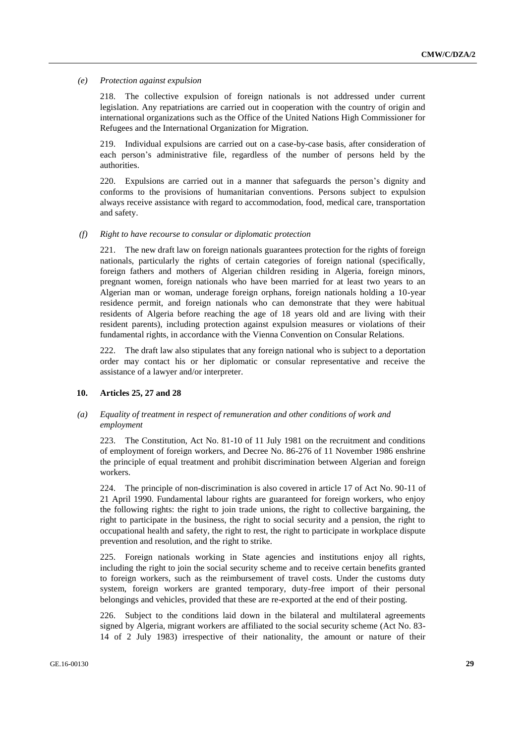#### *(e) Protection against expulsion*

218. The collective expulsion of foreign nationals is not addressed under current legislation. Any repatriations are carried out in cooperation with the country of origin and international organizations such as the Office of the United Nations High Commissioner for Refugees and the International Organization for Migration.

219. Individual expulsions are carried out on a case-by-case basis, after consideration of each person's administrative file, regardless of the number of persons held by the authorities.

220. Expulsions are carried out in a manner that safeguards the person's dignity and conforms to the provisions of humanitarian conventions. Persons subject to expulsion always receive assistance with regard to accommodation, food, medical care, transportation and safety.

#### *(f) Right to have recourse to consular or diplomatic protection*

221. The new draft law on foreign nationals guarantees protection for the rights of foreign nationals, particularly the rights of certain categories of foreign national (specifically, foreign fathers and mothers of Algerian children residing in Algeria, foreign minors, pregnant women, foreign nationals who have been married for at least two years to an Algerian man or woman, underage foreign orphans, foreign nationals holding a 10-year residence permit, and foreign nationals who can demonstrate that they were habitual residents of Algeria before reaching the age of 18 years old and are living with their resident parents), including protection against expulsion measures or violations of their fundamental rights, in accordance with the Vienna Convention on Consular Relations.

222. The draft law also stipulates that any foreign national who is subject to a deportation order may contact his or her diplomatic or consular representative and receive the assistance of a lawyer and/or interpreter.

### **10. Articles 25, 27 and 28**

### *(a) Equality of treatment in respect of remuneration and other conditions of work and employment*

223. The Constitution, Act No. 81-10 of 11 July 1981 on the recruitment and conditions of employment of foreign workers, and Decree No. 86-276 of 11 November 1986 enshrine the principle of equal treatment and prohibit discrimination between Algerian and foreign workers.

224. The principle of non-discrimination is also covered in article 17 of Act No. 90-11 of 21 April 1990. Fundamental labour rights are guaranteed for foreign workers, who enjoy the following rights: the right to join trade unions, the right to collective bargaining, the right to participate in the business, the right to social security and a pension, the right to occupational health and safety, the right to rest, the right to participate in workplace dispute prevention and resolution, and the right to strike.

225. Foreign nationals working in State agencies and institutions enjoy all rights, including the right to join the social security scheme and to receive certain benefits granted to foreign workers, such as the reimbursement of travel costs. Under the customs duty system, foreign workers are granted temporary, duty-free import of their personal belongings and vehicles, provided that these are re-exported at the end of their posting.

226. Subject to the conditions laid down in the bilateral and multilateral agreements signed by Algeria, migrant workers are affiliated to the social security scheme (Act No. 83- 14 of 2 July 1983) irrespective of their nationality, the amount or nature of their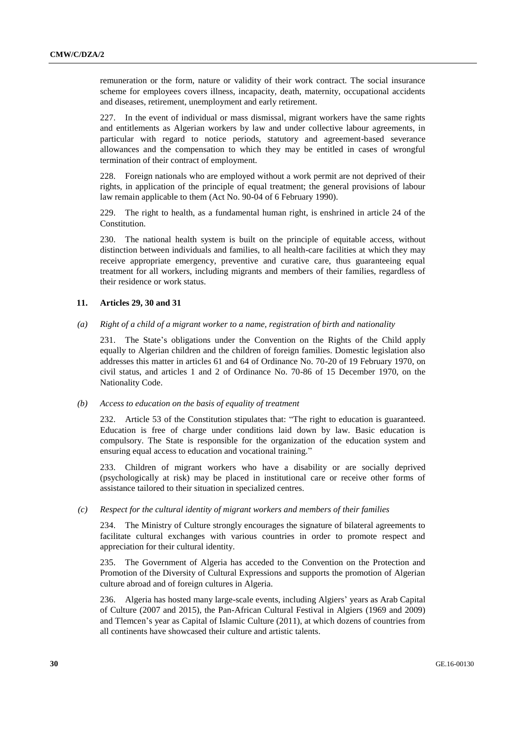remuneration or the form, nature or validity of their work contract. The social insurance scheme for employees covers illness, incapacity, death, maternity, occupational accidents and diseases, retirement, unemployment and early retirement.

227. In the event of individual or mass dismissal, migrant workers have the same rights and entitlements as Algerian workers by law and under collective labour agreements, in particular with regard to notice periods, statutory and agreement-based severance allowances and the compensation to which they may be entitled in cases of wrongful termination of their contract of employment.

228. Foreign nationals who are employed without a work permit are not deprived of their rights, in application of the principle of equal treatment; the general provisions of labour law remain applicable to them (Act No. 90-04 of 6 February 1990).

229. The right to health, as a fundamental human right, is enshrined in article 24 of the Constitution.

230. The national health system is built on the principle of equitable access, without distinction between individuals and families, to all health-care facilities at which they may receive appropriate emergency, preventive and curative care, thus guaranteeing equal treatment for all workers, including migrants and members of their families, regardless of their residence or work status.

### **11. Articles 29, 30 and 31**

#### *(a) Right of a child of a migrant worker to a name, registration of birth and nationality*

231. The State's obligations under the Convention on the Rights of the Child apply equally to Algerian children and the children of foreign families. Domestic legislation also addresses this matter in articles 61 and 64 of Ordinance No. 70-20 of 19 February 1970, on civil status, and articles 1 and 2 of Ordinance No. 70-86 of 15 December 1970, on the Nationality Code.

#### *(b) Access to education on the basis of equality of treatment*

232. Article 53 of the Constitution stipulates that: "The right to education is guaranteed. Education is free of charge under conditions laid down by law. Basic education is compulsory. The State is responsible for the organization of the education system and ensuring equal access to education and vocational training."

233. Children of migrant workers who have a disability or are socially deprived (psychologically at risk) may be placed in institutional care or receive other forms of assistance tailored to their situation in specialized centres.

#### *(c) Respect for the cultural identity of migrant workers and members of their families*

234. The Ministry of Culture strongly encourages the signature of bilateral agreements to facilitate cultural exchanges with various countries in order to promote respect and appreciation for their cultural identity.

235. The Government of Algeria has acceded to the Convention on the Protection and Promotion of the Diversity of Cultural Expressions and supports the promotion of Algerian culture abroad and of foreign cultures in Algeria.

236. Algeria has hosted many large-scale events, including Algiers' years as Arab Capital of Culture (2007 and 2015), the Pan-African Cultural Festival in Algiers (1969 and 2009) and Tlemcen's year as Capital of Islamic Culture (2011), at which dozens of countries from all continents have showcased their culture and artistic talents.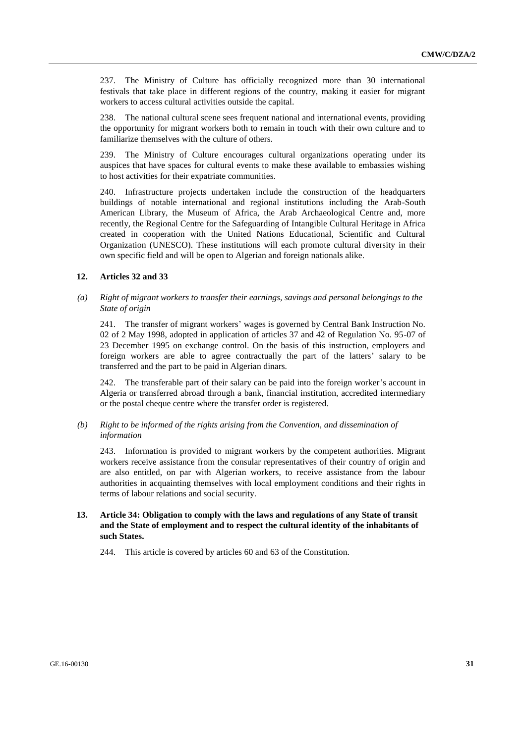237. The Ministry of Culture has officially recognized more than 30 international festivals that take place in different regions of the country, making it easier for migrant workers to access cultural activities outside the capital.

238. The national cultural scene sees frequent national and international events, providing the opportunity for migrant workers both to remain in touch with their own culture and to familiarize themselves with the culture of others.

239. The Ministry of Culture encourages cultural organizations operating under its auspices that have spaces for cultural events to make these available to embassies wishing to host activities for their expatriate communities.

240. Infrastructure projects undertaken include the construction of the headquarters buildings of notable international and regional institutions including the Arab-South American Library, the Museum of Africa, the Arab Archaeological Centre and, more recently, the Regional Centre for the Safeguarding of Intangible Cultural Heritage in Africa created in cooperation with the United Nations Educational, Scientific and Cultural Organization (UNESCO). These institutions will each promote cultural diversity in their own specific field and will be open to Algerian and foreign nationals alike.

# **12. Articles 32 and 33**

### *(a) Right of migrant workers to transfer their earnings, savings and personal belongings to the State of origin*

241. The transfer of migrant workers' wages is governed by Central Bank Instruction No. 02 of 2 May 1998, adopted in application of articles 37 and 42 of Regulation No. 95-07 of 23 December 1995 on exchange control. On the basis of this instruction, employers and foreign workers are able to agree contractually the part of the latters' salary to be transferred and the part to be paid in Algerian dinars.

242. The transferable part of their salary can be paid into the foreign worker's account in Algeria or transferred abroad through a bank, financial institution, accredited intermediary or the postal cheque centre where the transfer order is registered.

### *(b) Right to be informed of the rights arising from the Convention, and dissemination of information*

243. Information is provided to migrant workers by the competent authorities. Migrant workers receive assistance from the consular representatives of their country of origin and are also entitled, on par with Algerian workers, to receive assistance from the labour authorities in acquainting themselves with local employment conditions and their rights in terms of labour relations and social security.

# **13. Article 34: Obligation to comply with the laws and regulations of any State of transit and the State of employment and to respect the cultural identity of the inhabitants of such States.**

244. This article is covered by articles 60 and 63 of the Constitution.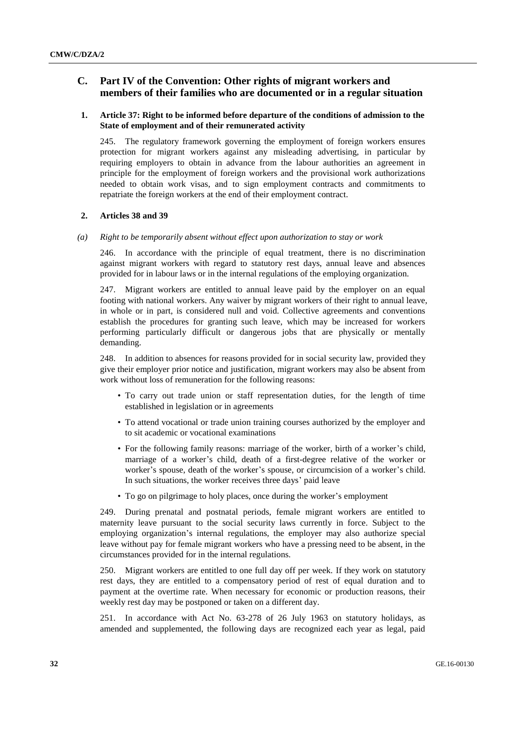# **C. Part IV of the Convention: Other rights of migrant workers and members of their families who are documented or in a regular situation**

# **1. Article 37: Right to be informed before departure of the conditions of admission to the State of employment and of their remunerated activity**

245. The regulatory framework governing the employment of foreign workers ensures protection for migrant workers against any misleading advertising, in particular by requiring employers to obtain in advance from the labour authorities an agreement in principle for the employment of foreign workers and the provisional work authorizations needed to obtain work visas, and to sign employment contracts and commitments to repatriate the foreign workers at the end of their employment contract.

#### **2. Articles 38 and 39**

*(a) Right to be temporarily absent without effect upon authorization to stay or work*

246. In accordance with the principle of equal treatment, there is no discrimination against migrant workers with regard to statutory rest days, annual leave and absences provided for in labour laws or in the internal regulations of the employing organization.

247. Migrant workers are entitled to annual leave paid by the employer on an equal footing with national workers. Any waiver by migrant workers of their right to annual leave, in whole or in part, is considered null and void. Collective agreements and conventions establish the procedures for granting such leave, which may be increased for workers performing particularly difficult or dangerous jobs that are physically or mentally demanding.

248. In addition to absences for reasons provided for in social security law, provided they give their employer prior notice and justification, migrant workers may also be absent from work without loss of remuneration for the following reasons:

- To carry out trade union or staff representation duties, for the length of time established in legislation or in agreements
- To attend vocational or trade union training courses authorized by the employer and to sit academic or vocational examinations
- For the following family reasons: marriage of the worker, birth of a worker's child, marriage of a worker's child, death of a first-degree relative of the worker or worker's spouse, death of the worker's spouse, or circumcision of a worker's child. In such situations, the worker receives three days' paid leave
- To go on pilgrimage to holy places, once during the worker's employment

249. During prenatal and postnatal periods, female migrant workers are entitled to maternity leave pursuant to the social security laws currently in force. Subject to the employing organization's internal regulations, the employer may also authorize special leave without pay for female migrant workers who have a pressing need to be absent, in the circumstances provided for in the internal regulations.

250. Migrant workers are entitled to one full day off per week. If they work on statutory rest days, they are entitled to a compensatory period of rest of equal duration and to payment at the overtime rate. When necessary for economic or production reasons, their weekly rest day may be postponed or taken on a different day.

251. In accordance with Act No. 63-278 of 26 July 1963 on statutory holidays, as amended and supplemented, the following days are recognized each year as legal, paid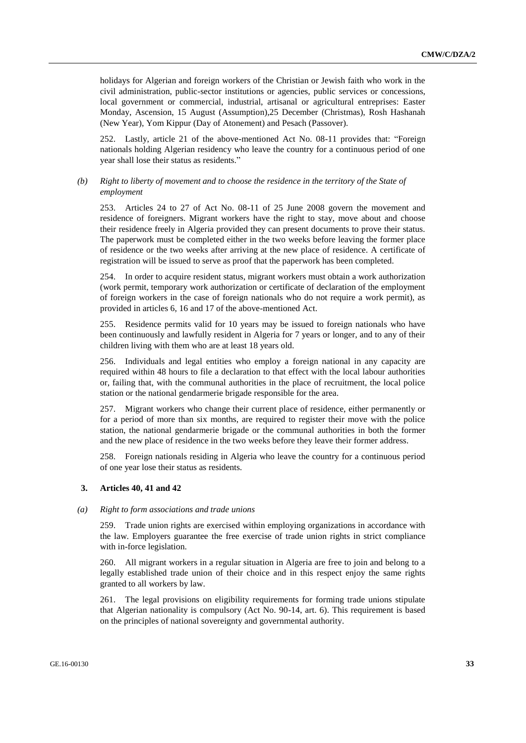holidays for Algerian and foreign workers of the Christian or Jewish faith who work in the civil administration, public-sector institutions or agencies, public services or concessions, local government or commercial, industrial, artisanal or agricultural entreprises: Easter Monday, Ascension, 15 August (Assumption),25 December (Christmas), Rosh Hashanah (New Year), Yom Kippur (Day of Atonement) and Pesach (Passover).

252. Lastly, article 21 of the above-mentioned Act No. 08-11 provides that: "Foreign nationals holding Algerian residency who leave the country for a continuous period of one year shall lose their status as residents."

### *(b) Right to liberty of movement and to choose the residence in the territory of the State of employment*

253. Articles 24 to 27 of Act No. 08-11 of 25 June 2008 govern the movement and residence of foreigners. Migrant workers have the right to stay, move about and choose their residence freely in Algeria provided they can present documents to prove their status. The paperwork must be completed either in the two weeks before leaving the former place of residence or the two weeks after arriving at the new place of residence. A certificate of registration will be issued to serve as proof that the paperwork has been completed.

254. In order to acquire resident status, migrant workers must obtain a work authorization (work permit, temporary work authorization or certificate of declaration of the employment of foreign workers in the case of foreign nationals who do not require a work permit), as provided in articles 6, 16 and 17 of the above-mentioned Act.

255. Residence permits valid for 10 years may be issued to foreign nationals who have been continuously and lawfully resident in Algeria for 7 years or longer, and to any of their children living with them who are at least 18 years old.

256. Individuals and legal entities who employ a foreign national in any capacity are required within 48 hours to file a declaration to that effect with the local labour authorities or, failing that, with the communal authorities in the place of recruitment, the local police station or the national gendarmerie brigade responsible for the area.

257. Migrant workers who change their current place of residence, either permanently or for a period of more than six months, are required to register their move with the police station, the national gendarmerie brigade or the communal authorities in both the former and the new place of residence in the two weeks before they leave their former address.

258. Foreign nationals residing in Algeria who leave the country for a continuous period of one year lose their status as residents.

### **3. Articles 40, 41 and 42**

#### *(a) Right to form associations and trade unions*

259. Trade union rights are exercised within employing organizations in accordance with the law. Employers guarantee the free exercise of trade union rights in strict compliance with in-force legislation.

260. All migrant workers in a regular situation in Algeria are free to join and belong to a legally established trade union of their choice and in this respect enjoy the same rights granted to all workers by law.

261. The legal provisions on eligibility requirements for forming trade unions stipulate that Algerian nationality is compulsory (Act No. 90-14, art. 6). This requirement is based on the principles of national sovereignty and governmental authority.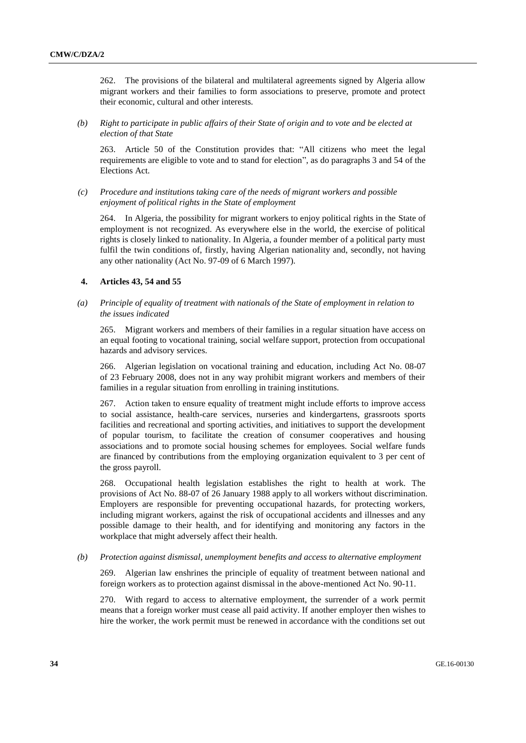262. The provisions of the bilateral and multilateral agreements signed by Algeria allow migrant workers and their families to form associations to preserve, promote and protect their economic, cultural and other interests.

*(b) Right to participate in public affairs of their State of origin and to vote and be elected at election of that State*

263. Article 50 of the Constitution provides that: "All citizens who meet the legal requirements are eligible to vote and to stand for election", as do paragraphs 3 and 54 of the Elections Act.

*(c) Procedure and institutions taking care of the needs of migrant workers and possible enjoyment of political rights in the State of employment* 

264. In Algeria, the possibility for migrant workers to enjoy political rights in the State of employment is not recognized. As everywhere else in the world, the exercise of political rights is closely linked to nationality. In Algeria, a founder member of a political party must fulfil the twin conditions of, firstly, having Algerian nationality and, secondly, not having any other nationality (Act No. 97-09 of 6 March 1997).

### **4. Articles 43, 54 and 55**

# *(a) Principle of equality of treatment with nationals of the State of employment in relation to the issues indicated*

265. Migrant workers and members of their families in a regular situation have access on an equal footing to vocational training, social welfare support, protection from occupational hazards and advisory services.

266. Algerian legislation on vocational training and education, including Act No. 08-07 of 23 February 2008, does not in any way prohibit migrant workers and members of their families in a regular situation from enrolling in training institutions.

267. Action taken to ensure equality of treatment might include efforts to improve access to social assistance, health-care services, nurseries and kindergartens, grassroots sports facilities and recreational and sporting activities, and initiatives to support the development of popular tourism, to facilitate the creation of consumer cooperatives and housing associations and to promote social housing schemes for employees. Social welfare funds are financed by contributions from the employing organization equivalent to 3 per cent of the gross payroll.

268. Occupational health legislation establishes the right to health at work. The provisions of Act No. 88-07 of 26 January 1988 apply to all workers without discrimination. Employers are responsible for preventing occupational hazards, for protecting workers, including migrant workers, against the risk of occupational accidents and illnesses and any possible damage to their health, and for identifying and monitoring any factors in the workplace that might adversely affect their health.

### *(b) Protection against dismissal, unemployment benefits and access to alternative employment*

269. Algerian law enshrines the principle of equality of treatment between national and foreign workers as to protection against dismissal in the above-mentioned Act No. 90-11.

270. With regard to access to alternative employment, the surrender of a work permit means that a foreign worker must cease all paid activity. If another employer then wishes to hire the worker, the work permit must be renewed in accordance with the conditions set out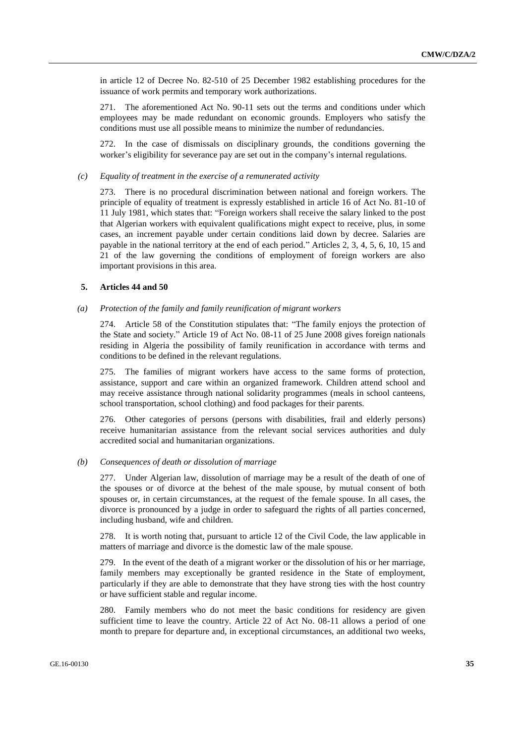in article 12 of Decree No. 82-510 of 25 December 1982 establishing procedures for the issuance of work permits and temporary work authorizations.

271. The aforementioned Act No. 90-11 sets out the terms and conditions under which employees may be made redundant on economic grounds. Employers who satisfy the conditions must use all possible means to minimize the number of redundancies.

272. In the case of dismissals on disciplinary grounds, the conditions governing the worker's eligibility for severance pay are set out in the company's internal regulations.

#### *(c) Equality of treatment in the exercise of a remunerated activity*

273. There is no procedural discrimination between national and foreign workers. The principle of equality of treatment is expressly established in article 16 of Act No. 81-10 of 11 July 1981, which states that: "Foreign workers shall receive the salary linked to the post that Algerian workers with equivalent qualifications might expect to receive, plus, in some cases, an increment payable under certain conditions laid down by decree. Salaries are payable in the national territory at the end of each period." Articles 2, 3, 4, 5, 6, 10, 15 and 21 of the law governing the conditions of employment of foreign workers are also important provisions in this area.

## **5. Articles 44 and 50**

#### *(a) Protection of the family and family reunification of migrant workers*

274. Article 58 of the Constitution stipulates that: "The family enjoys the protection of the State and society." Article 19 of Act No. 08-11 of 25 June 2008 gives foreign nationals residing in Algeria the possibility of family reunification in accordance with terms and conditions to be defined in the relevant regulations.

275. The families of migrant workers have access to the same forms of protection, assistance, support and care within an organized framework. Children attend school and may receive assistance through national solidarity programmes (meals in school canteens, school transportation, school clothing) and food packages for their parents.

276. Other categories of persons (persons with disabilities, frail and elderly persons) receive humanitarian assistance from the relevant social services authorities and duly accredited social and humanitarian organizations.

#### *(b) Consequences of death or dissolution of marriage*

277. Under Algerian law, dissolution of marriage may be a result of the death of one of the spouses or of divorce at the behest of the male spouse, by mutual consent of both spouses or, in certain circumstances, at the request of the female spouse. In all cases, the divorce is pronounced by a judge in order to safeguard the rights of all parties concerned, including husband, wife and children.

278. It is worth noting that, pursuant to article 12 of the Civil Code, the law applicable in matters of marriage and divorce is the domestic law of the male spouse.

279. In the event of the death of a migrant worker or the dissolution of his or her marriage, family members may exceptionally be granted residence in the State of employment, particularly if they are able to demonstrate that they have strong ties with the host country or have sufficient stable and regular income.

280. Family members who do not meet the basic conditions for residency are given sufficient time to leave the country. Article 22 of Act No. 08-11 allows a period of one month to prepare for departure and, in exceptional circumstances, an additional two weeks,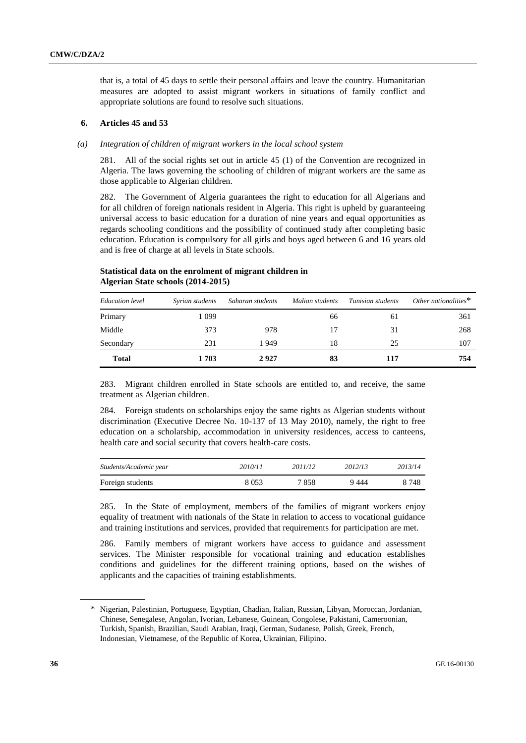that is, a total of 45 days to settle their personal affairs and leave the country. Humanitarian measures are adopted to assist migrant workers in situations of family conflict and appropriate solutions are found to resolve such situations.

# **6. Articles 45 and 53**

#### *(a) Integration of children of migrant workers in the local school system*

281. All of the social rights set out in article 45 (1) of the Convention are recognized in Algeria. The laws governing the schooling of children of migrant workers are the same as those applicable to Algerian children.

282. The Government of Algeria guarantees the right to education for all Algerians and for all children of foreign nationals resident in Algeria. This right is upheld by guaranteeing universal access to basic education for a duration of nine years and equal opportunities as regards schooling conditions and the possibility of continued study after completing basic education. Education is compulsory for all girls and boys aged between 6 and 16 years old and is free of charge at all levels in State schools.

| Education level | Syrian students | Saharan students | Malian students | Tunisian students | Other nationalities $*$ |
|-----------------|-----------------|------------------|-----------------|-------------------|-------------------------|
| Primary         | 1 099           |                  | 66              | 61                | 361                     |
| Middle          | 373             | 978              | 17              | 31                | 268                     |
| Secondary       | 231             | 1949             | 18              | 25                | 107                     |
| <b>Total</b>    | 1703            | 2927             | 83              | 117               | 754                     |

# **Statistical data on the enrolment of migrant children in Algerian State schools (2014-2015)**

283. Migrant children enrolled in State schools are entitled to, and receive, the same treatment as Algerian children.

284. Foreign students on scholarships enjoy the same rights as Algerian students without discrimination (Executive Decree No. 10-137 of 13 May 2010), namely, the right to free education on a scholarship, accommodation in university residences, access to canteens, health care and social security that covers health-care costs.

| Students/Academic year | 2010/11 | 2011/12 | 2012/13 | 2013/14 |
|------------------------|---------|---------|---------|---------|
| Foreign students       | 8 0 5 3 | 7858    | 9444    | 8 748   |

285. In the State of employment, members of the families of migrant workers enjoy equality of treatment with nationals of the State in relation to access to vocational guidance and training institutions and services, provided that requirements for participation are met.

286. Family members of migrant workers have access to guidance and assessment services. The Minister responsible for vocational training and education establishes conditions and guidelines for the different training options, based on the wishes of applicants and the capacities of training establishments.

<sup>\*</sup> Nigerian, Palestinian, Portuguese, Egyptian, Chadian, Italian, Russian, Libyan, Moroccan, Jordanian, Chinese, Senegalese, Angolan, Ivorian, Lebanese, Guinean, Congolese, Pakistani, Cameroonian, Turkish, Spanish, Brazilian, Saudi Arabian, Iraqi, German, Sudanese, Polish, Greek, French, Indonesian, Vietnamese, of the Republic of Korea, Ukrainian, Filipino.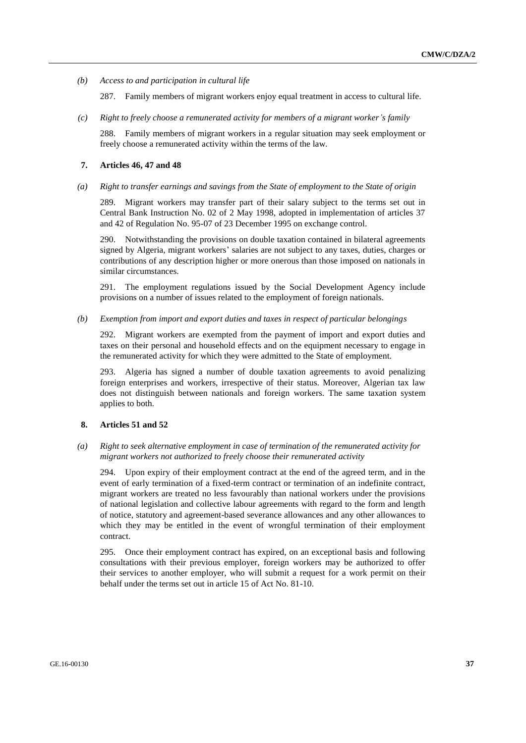*(b) Access to and participation in cultural life*

287. Family members of migrant workers enjoy equal treatment in access to cultural life.

*(c) Right to freely choose a remunerated activity for members of a migrant worker's family*

288. Family members of migrant workers in a regular situation may seek employment or freely choose a remunerated activity within the terms of the law.

#### **7. Articles 46, 47 and 48**

*(a) Right to transfer earnings and savings from the State of employment to the State of origin*

289. Migrant workers may transfer part of their salary subject to the terms set out in Central Bank Instruction No. 02 of 2 May 1998, adopted in implementation of articles 37 and 42 of Regulation No. 95-07 of 23 December 1995 on exchange control.

290. Notwithstanding the provisions on double taxation contained in bilateral agreements signed by Algeria, migrant workers' salaries are not subject to any taxes, duties, charges or contributions of any description higher or more onerous than those imposed on nationals in similar circumstances.

291. The employment regulations issued by the Social Development Agency include provisions on a number of issues related to the employment of foreign nationals.

*(b) Exemption from import and export duties and taxes in respect of particular belongings*

292. Migrant workers are exempted from the payment of import and export duties and taxes on their personal and household effects and on the equipment necessary to engage in the remunerated activity for which they were admitted to the State of employment.

293. Algeria has signed a number of double taxation agreements to avoid penalizing foreign enterprises and workers, irrespective of their status. Moreover, Algerian tax law does not distinguish between nationals and foreign workers. The same taxation system applies to both.

### **8. Articles 51 and 52**

*(a) Right to seek alternative employment in case of termination of the remunerated activity for migrant workers not authorized to freely choose their remunerated activity* 

294. Upon expiry of their employment contract at the end of the agreed term, and in the event of early termination of a fixed-term contract or termination of an indefinite contract, migrant workers are treated no less favourably than national workers under the provisions of national legislation and collective labour agreements with regard to the form and length of notice, statutory and agreement-based severance allowances and any other allowances to which they may be entitled in the event of wrongful termination of their employment contract.

295. Once their employment contract has expired, on an exceptional basis and following consultations with their previous employer, foreign workers may be authorized to offer their services to another employer, who will submit a request for a work permit on their behalf under the terms set out in article 15 of Act No. 81-10.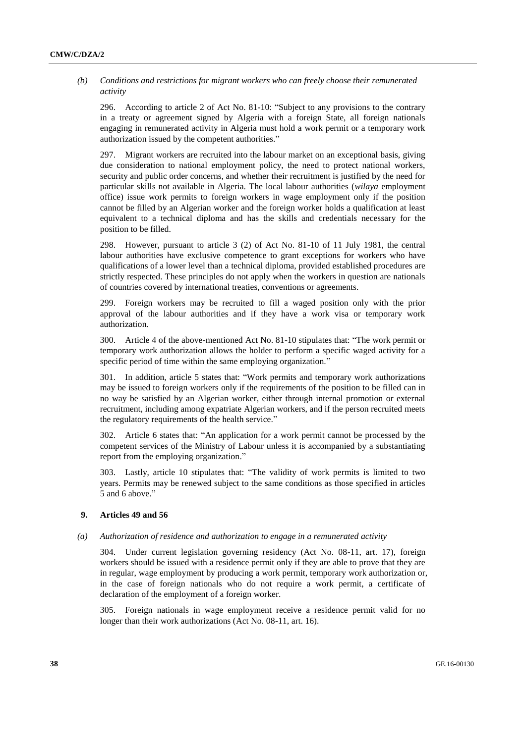# *(b) Conditions and restrictions for migrant workers who can freely choose their remunerated activity*

296. According to article 2 of Act No. 81-10: "Subject to any provisions to the contrary in a treaty or agreement signed by Algeria with a foreign State, all foreign nationals engaging in remunerated activity in Algeria must hold a work permit or a temporary work authorization issued by the competent authorities."

297. Migrant workers are recruited into the labour market on an exceptional basis, giving due consideration to national employment policy, the need to protect national workers, security and public order concerns, and whether their recruitment is justified by the need for particular skills not available in Algeria. The local labour authorities (*wilaya* employment office) issue work permits to foreign workers in wage employment only if the position cannot be filled by an Algerian worker and the foreign worker holds a qualification at least equivalent to a technical diploma and has the skills and credentials necessary for the position to be filled.

298. However, pursuant to article 3 (2) of Act No. 81-10 of 11 July 1981, the central labour authorities have exclusive competence to grant exceptions for workers who have qualifications of a lower level than a technical diploma, provided established procedures are strictly respected. These principles do not apply when the workers in question are nationals of countries covered by international treaties, conventions or agreements.

299. Foreign workers may be recruited to fill a waged position only with the prior approval of the labour authorities and if they have a work visa or temporary work authorization.

300. Article 4 of the above-mentioned Act No. 81-10 stipulates that: "The work permit or temporary work authorization allows the holder to perform a specific waged activity for a specific period of time within the same employing organization."

301. In addition, article 5 states that: "Work permits and temporary work authorizations may be issued to foreign workers only if the requirements of the position to be filled can in no way be satisfied by an Algerian worker, either through internal promotion or external recruitment, including among expatriate Algerian workers, and if the person recruited meets the regulatory requirements of the health service."

302. Article 6 states that: "An application for a work permit cannot be processed by the competent services of the Ministry of Labour unless it is accompanied by a substantiating report from the employing organization."

303. Lastly, article 10 stipulates that: "The validity of work permits is limited to two years. Permits may be renewed subject to the same conditions as those specified in articles 5 and 6 above."

### **9. Articles 49 and 56**

### *(a) Authorization of residence and authorization to engage in a remunerated activity*

304. Under current legislation governing residency (Act No. 08-11, art. 17), foreign workers should be issued with a residence permit only if they are able to prove that they are in regular, wage employment by producing a work permit, temporary work authorization or, in the case of foreign nationals who do not require a work permit, a certificate of declaration of the employment of a foreign worker.

305. Foreign nationals in wage employment receive a residence permit valid for no longer than their work authorizations (Act No. 08-11, art. 16).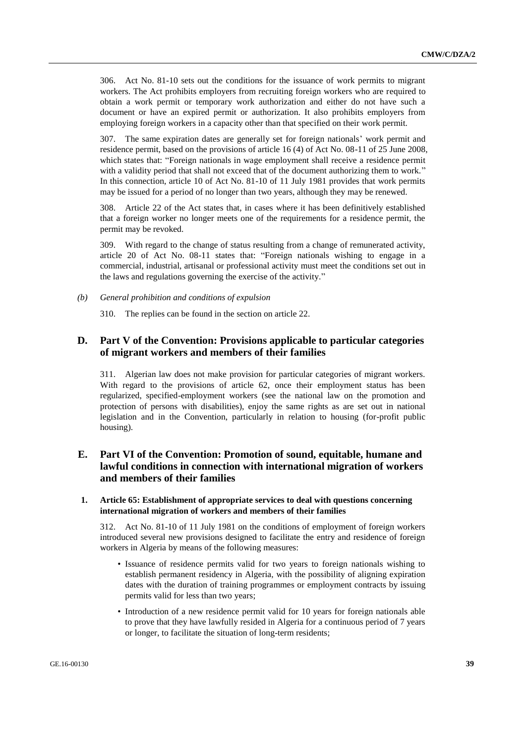306. Act No. 81-10 sets out the conditions for the issuance of work permits to migrant workers. The Act prohibits employers from recruiting foreign workers who are required to obtain a work permit or temporary work authorization and either do not have such a document or have an expired permit or authorization. It also prohibits employers from employing foreign workers in a capacity other than that specified on their work permit.

307. The same expiration dates are generally set for foreign nationals' work permit and residence permit, based on the provisions of article 16 (4) of Act No. 08-11 of 25 June 2008, which states that: "Foreign nationals in wage employment shall receive a residence permit with a validity period that shall not exceed that of the document authorizing them to work." In this connection, article 10 of Act No. 81-10 of 11 July 1981 provides that work permits may be issued for a period of no longer than two years, although they may be renewed.

308. Article 22 of the Act states that, in cases where it has been definitively established that a foreign worker no longer meets one of the requirements for a residence permit, the permit may be revoked.

309. With regard to the change of status resulting from a change of remunerated activity, article 20 of Act No. 08-11 states that: "Foreign nationals wishing to engage in a commercial, industrial, artisanal or professional activity must meet the conditions set out in the laws and regulations governing the exercise of the activity."

*(b) General prohibition and conditions of expulsion*

310. The replies can be found in the section on article 22.

# **D. Part V of the Convention: Provisions applicable to particular categories of migrant workers and members of their families**

311. Algerian law does not make provision for particular categories of migrant workers. With regard to the provisions of article 62, once their employment status has been regularized, specified-employment workers (see the national law on the promotion and protection of persons with disabilities), enjoy the same rights as are set out in national legislation and in the Convention, particularly in relation to housing (for-profit public housing).

# **E. Part VI of the Convention: Promotion of sound, equitable, humane and lawful conditions in connection with international migration of workers and members of their families**

# **1. Article 65: Establishment of appropriate services to deal with questions concerning international migration of workers and members of their families**

312. Act No. 81-10 of 11 July 1981 on the conditions of employment of foreign workers introduced several new provisions designed to facilitate the entry and residence of foreign workers in Algeria by means of the following measures:

- Issuance of residence permits valid for two years to foreign nationals wishing to establish permanent residency in Algeria, with the possibility of aligning expiration dates with the duration of training programmes or employment contracts by issuing permits valid for less than two years;
- Introduction of a new residence permit valid for 10 years for foreign nationals able to prove that they have lawfully resided in Algeria for a continuous period of 7 years or longer, to facilitate the situation of long-term residents;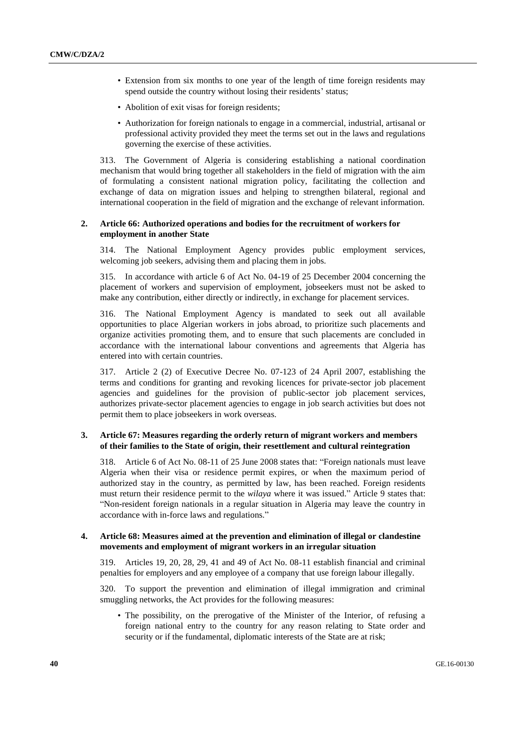- Extension from six months to one year of the length of time foreign residents may spend outside the country without losing their residents' status;
- Abolition of exit visas for foreign residents;
- Authorization for foreign nationals to engage in a commercial, industrial, artisanal or professional activity provided they meet the terms set out in the laws and regulations governing the exercise of these activities.

313. The Government of Algeria is considering establishing a national coordination mechanism that would bring together all stakeholders in the field of migration with the aim of formulating a consistent national migration policy, facilitating the collection and exchange of data on migration issues and helping to strengthen bilateral, regional and international cooperation in the field of migration and the exchange of relevant information.

# **2. Article 66: Authorized operations and bodies for the recruitment of workers for employment in another State**

314. The National Employment Agency provides public employment services, welcoming job seekers, advising them and placing them in jobs.

315. In accordance with article 6 of Act No. 04-19 of 25 December 2004 concerning the placement of workers and supervision of employment, jobseekers must not be asked to make any contribution, either directly or indirectly, in exchange for placement services.

316. The National Employment Agency is mandated to seek out all available opportunities to place Algerian workers in jobs abroad, to prioritize such placements and organize activities promoting them, and to ensure that such placements are concluded in accordance with the international labour conventions and agreements that Algeria has entered into with certain countries.

317. Article 2 (2) of Executive Decree No. 07-123 of 24 April 2007, establishing the terms and conditions for granting and revoking licences for private-sector job placement agencies and guidelines for the provision of public-sector job placement services, authorizes private-sector placement agencies to engage in job search activities but does not permit them to place jobseekers in work overseas.

# **3. Article 67: Measures regarding the orderly return of migrant workers and members of their families to the State of origin, their resettlement and cultural reintegration**

318. Article 6 of Act No. 08-11 of 25 June 2008 states that: "Foreign nationals must leave Algeria when their visa or residence permit expires, or when the maximum period of authorized stay in the country, as permitted by law, has been reached. Foreign residents must return their residence permit to the *wilaya* where it was issued." Article 9 states that: "Non-resident foreign nationals in a regular situation in Algeria may leave the country in accordance with in-force laws and regulations."

### **4. Article 68: Measures aimed at the prevention and elimination of illegal or clandestine movements and employment of migrant workers in an irregular situation**

319. Articles 19, 20, 28, 29, 41 and 49 of Act No. 08-11 establish financial and criminal penalties for employers and any employee of a company that use foreign labour illegally.

320. To support the prevention and elimination of illegal immigration and criminal smuggling networks, the Act provides for the following measures:

• The possibility, on the prerogative of the Minister of the Interior, of refusing a foreign national entry to the country for any reason relating to State order and security or if the fundamental, diplomatic interests of the State are at risk;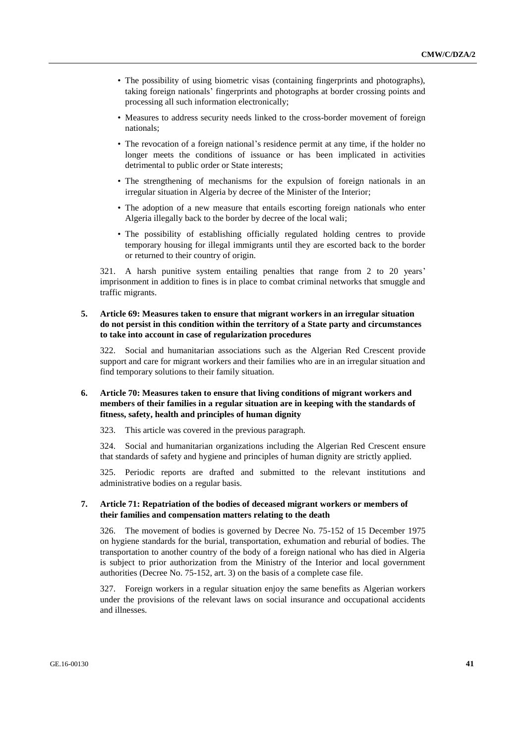- The possibility of using biometric visas (containing fingerprints and photographs), taking foreign nationals' fingerprints and photographs at border crossing points and processing all such information electronically;
- Measures to address security needs linked to the cross-border movement of foreign nationals;
- The revocation of a foreign national's residence permit at any time, if the holder no longer meets the conditions of issuance or has been implicated in activities detrimental to public order or State interests;
- The strengthening of mechanisms for the expulsion of foreign nationals in an irregular situation in Algeria by decree of the Minister of the Interior;
- The adoption of a new measure that entails escorting foreign nationals who enter Algeria illegally back to the border by decree of the local wali;
- The possibility of establishing officially regulated holding centres to provide temporary housing for illegal immigrants until they are escorted back to the border or returned to their country of origin.

321. A harsh punitive system entailing penalties that range from 2 to 20 years' imprisonment in addition to fines is in place to combat criminal networks that smuggle and traffic migrants.

# **5. Article 69: Measures taken to ensure that migrant workers in an irregular situation do not persist in this condition within the territory of a State party and circumstances to take into account in case of regularization procedures**

322. Social and humanitarian associations such as the Algerian Red Crescent provide support and care for migrant workers and their families who are in an irregular situation and find temporary solutions to their family situation.

# **6. Article 70: Measures taken to ensure that living conditions of migrant workers and members of their families in a regular situation are in keeping with the standards of fitness, safety, health and principles of human dignity**

323. This article was covered in the previous paragraph.

324. Social and humanitarian organizations including the Algerian Red Crescent ensure that standards of safety and hygiene and principles of human dignity are strictly applied.

325. Periodic reports are drafted and submitted to the relevant institutions and administrative bodies on a regular basis.

### **7. Article 71: Repatriation of the bodies of deceased migrant workers or members of their families and compensation matters relating to the death**

326. The movement of bodies is governed by Decree No. 75-152 of 15 December 1975 on hygiene standards for the burial, transportation, exhumation and reburial of bodies. The transportation to another country of the body of a foreign national who has died in Algeria is subject to prior authorization from the Ministry of the Interior and local government authorities (Decree No. 75-152, art. 3) on the basis of a complete case file.

327. Foreign workers in a regular situation enjoy the same benefits as Algerian workers under the provisions of the relevant laws on social insurance and occupational accidents and illnesses.